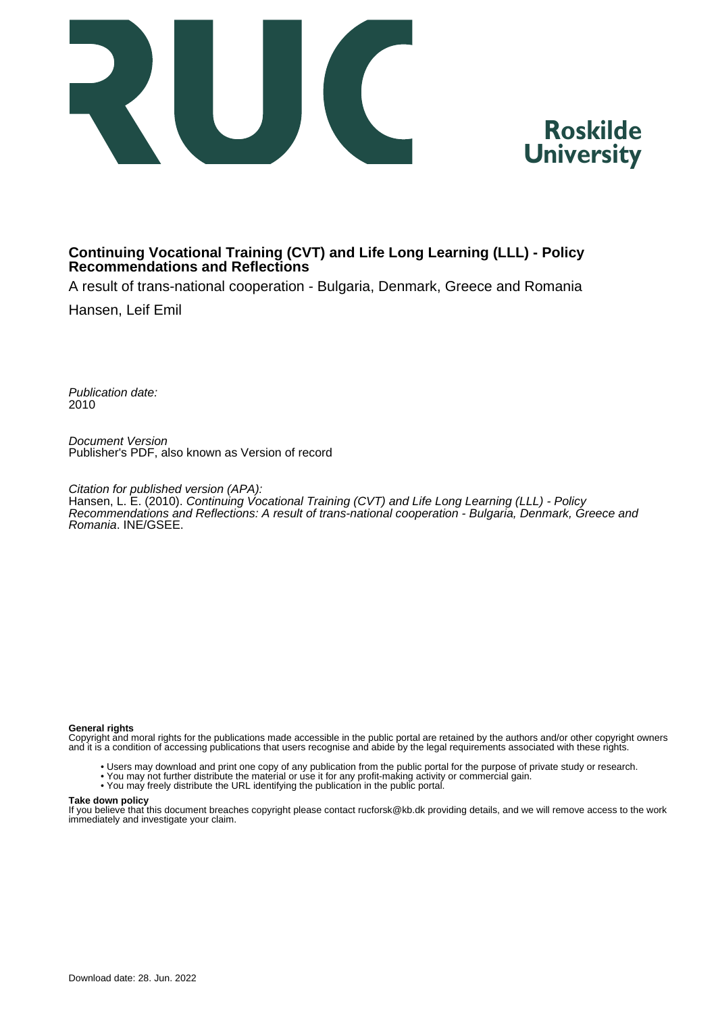



#### **Continuing Vocational Training (CVT) and Life Long Learning (LLL) - Policy Recommendations and Reflections**

A result of trans-national cooperation - Bulgaria, Denmark, Greece and Romania

Hansen, Leif Emil

Publication date: 2010

Document Version Publisher's PDF, also known as Version of record

Citation for published version (APA): Hansen, L. E. (2010). Continuing Vocational Training (CVT) and Life Long Learning (LLL) - Policy Recommendations and Reflections: A result of trans-national cooperation - Bulgaria, Denmark, Greece and Romania. INE/GSEE.

#### **General rights**

Copyright and moral rights for the publications made accessible in the public portal are retained by the authors and/or other copyright owners and it is a condition of accessing publications that users recognise and abide by the legal requirements associated with these rights.

- Users may download and print one copy of any publication from the public portal for the purpose of private study or research.
- You may not further distribute the material or use it for any profit-making activity or commercial gain.
- You may freely distribute the URL identifying the publication in the public portal.

#### **Take down policy**

If you believe that this document breaches copyright please contact rucforsk@kb.dk providing details, and we will remove access to the work immediately and investigate your claim.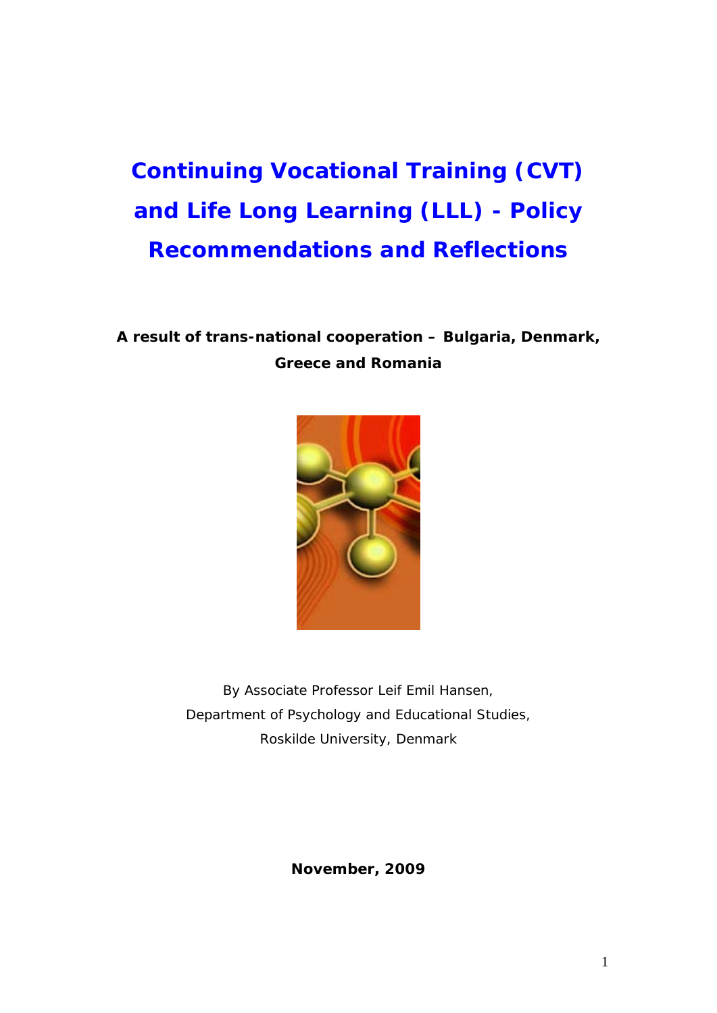# **Continuing Vocational Training (CVT) and Life Long Learning (LLL) - Policy Recommendations and Reflections**

### **A result of trans-national cooperation – Bulgaria, Denmark, Greece and Romania**



By Associate Professor *Leif Emil Hansen,* Department of Psychology and Educational Studies, Roskilde University, *Denmark*

**November, 2009**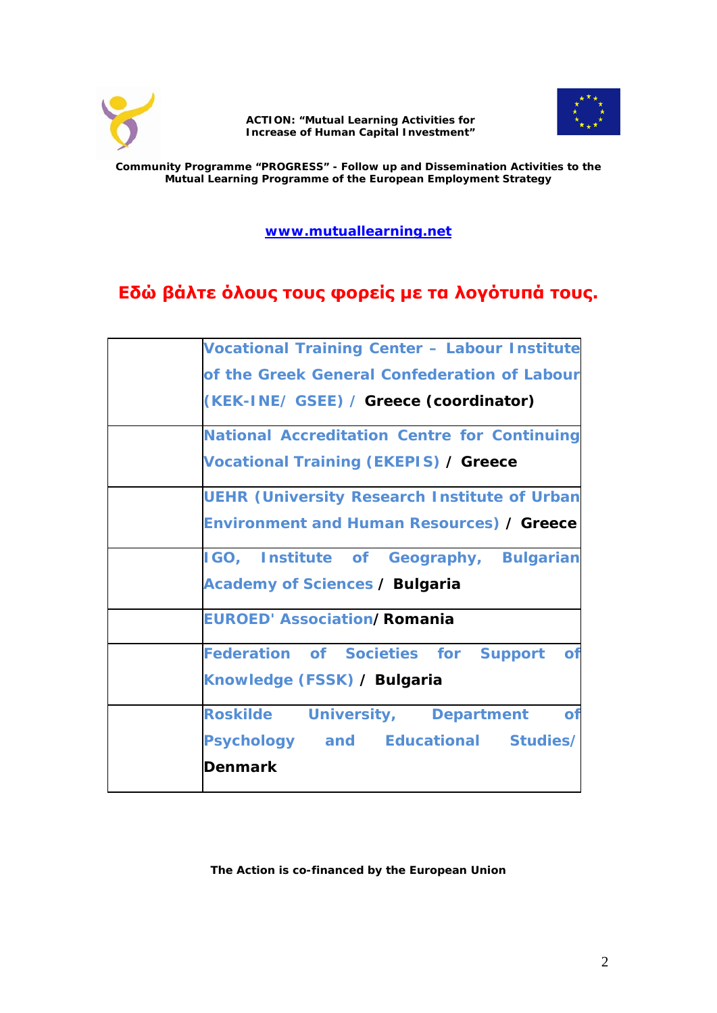



**Community Programme "PROGRESS" - Follow up and Dissemination Activities to the Mutual Learning Programme of the European Employment Strategy**

**[www.mutuallearning.net](http://www.mutuallearning.net/)**

### **Εδώ βάλτε όλους τους φορείς με τα λογότυπά τους.**

| <b>Vocational Training Center - Labour Institute</b> |
|------------------------------------------------------|
| of the Greek General Confederation of Labour         |
| (KEK-INE/ GSEE) / Greece (coordinator)               |
| <b>National Accreditation Centre for Continuing</b>  |
| <b>Vocational Training (EKEPIS) / Greece</b>         |
| <b>UEHR (University Research Institute of Urban</b>  |
| <b>Environment and Human Resources) / Greece</b>     |
| IGO, Institute of Geography, Bulgarian               |
| <b>Academy of Sciences / Bulgaria</b>                |
| <b>EUROED' Association/Romania</b>                   |
| Federation of Societies for Support of               |
| Knowledge (FSSK) / Bulgaria                          |
| Roskilde University, Department<br>$\bullet$         |
| Psychology and Educational Studies/                  |
| <b>Denmark</b>                                       |

**The Action is co-financed by the European Union**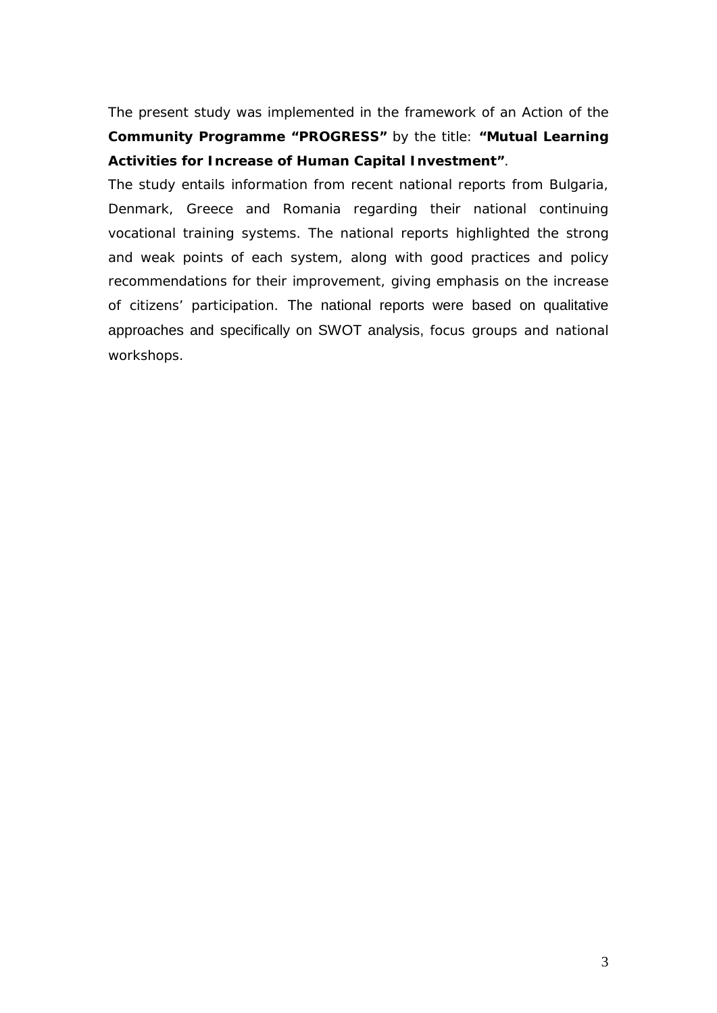The present study was implemented in the framework of an Action of the **Community Programme "PROGRESS"** by the title: **"Mutual Learning Activities for Increase of Human Capital Investment"**.

The study entails information from recent national reports from Bulgaria, Denmark, Greece and Romania regarding their national continuing vocational training systems. The national reports highlighted the strong and weak points of each system, along with good practices and policy recommendations for their improvement, giving emphasis on the increase of citizens' participation. The national reports were based on qualitative approaches and specifically on SWOT analysis, focus groups and national workshops.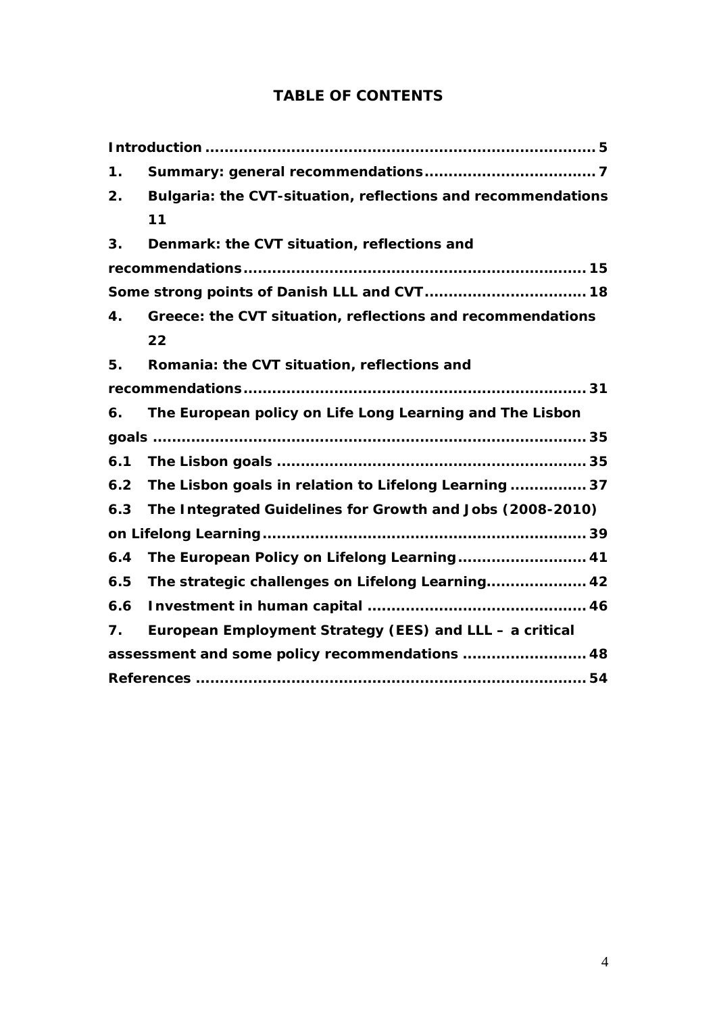### **TABLE OF CONTENTS**

| 1.  |                                                              |
|-----|--------------------------------------------------------------|
| 2.  | Bulgaria: the CVT-situation, reflections and recommendations |
|     | 11                                                           |
| 3.  | Denmark: the CVT situation, reflections and                  |
|     |                                                              |
|     |                                                              |
| 4.  | Greece: the CVT situation, reflections and recommendations   |
|     | 22                                                           |
| 5.  | Romania: the CVT situation, reflections and                  |
|     |                                                              |
| 6.  | The European policy on Life Long Learning and The Lisbon     |
|     |                                                              |
| 6.1 |                                                              |
| 6.2 | The Lisbon goals in relation to Lifelong Learning  37        |
| 6.3 | The Integrated Guidelines for Growth and Jobs (2008-2010)    |
|     |                                                              |
| 6.4 | The European Policy on Lifelong Learning 41                  |
| 6.5 | The strategic challenges on Lifelong Learning 42             |
| 6.6 |                                                              |
| 7.  | European Employment Strategy (EES) and LLL - a critical      |
|     | assessment and some policy recommendations  48               |
|     |                                                              |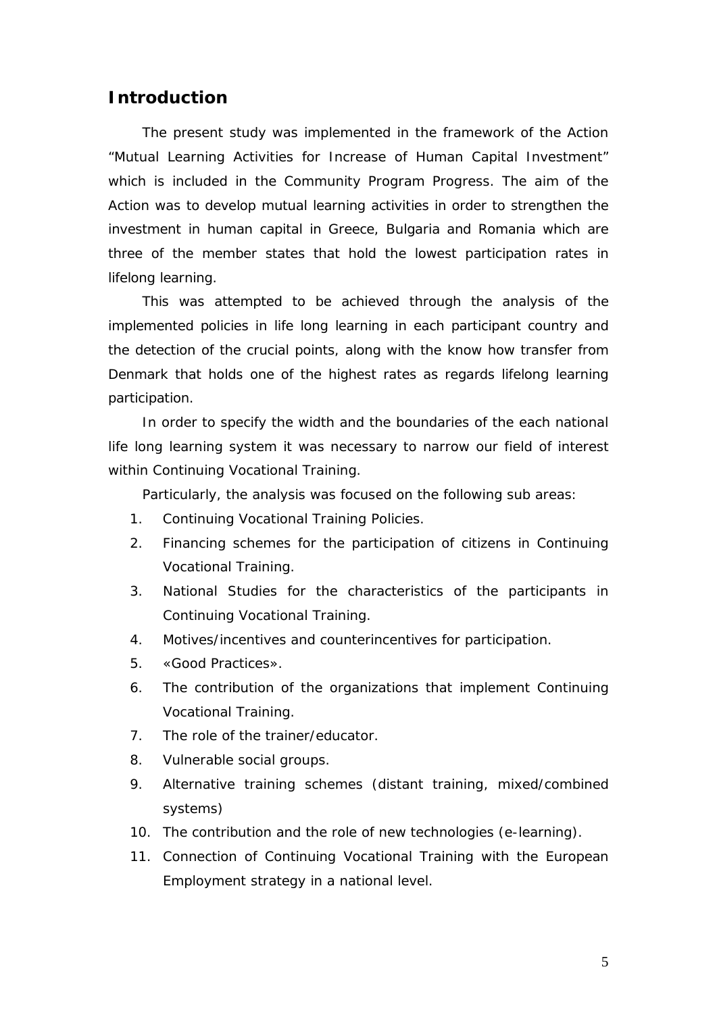#### <span id="page-5-0"></span>**Introduction**

The present study was implemented in the framework of the Action "Mutual Learning Activities for Increase of Human Capital Investment" which is included in the Community Program Progress. The aim of the Action was to develop mutual learning activities in order to strengthen the investment in human capital in Greece, Bulgaria and Romania which are three of the member states that hold the lowest participation rates in lifelong learning.

This was attempted to be achieved through the analysis of the implemented policies in life long learning in each participant country and the detection of the crucial points, along with the know how transfer from Denmark that holds one of the highest rates as regards lifelong learning participation.

In order to specify the width and the boundaries of the each national life long learning system it was necessary to narrow our field of interest within Continuing Vocational Training.

Particularly, the analysis was focused on the following sub areas:

- 1. Continuing Vocational Training Policies.
- 2. Financing schemes for the participation of citizens in Continuing Vocational Training.
- 3. National Studies for the characteristics of the participants in Continuing Vocational Training.
- 4. Motives/incentives and counterincentives for participation.
- 5. «Good Practices».
- 6. The contribution of the organizations that implement Continuing Vocational Training.
- 7. The role of the trainer/educator.
- 8. Vulnerable social groups.
- 9. Alternative training schemes (distant training, mixed/combined systems)
- 10. The contribution and the role of new technologies (e-learning).
- 11. Connection of Continuing Vocational Training with the European Employment strategy in a national level.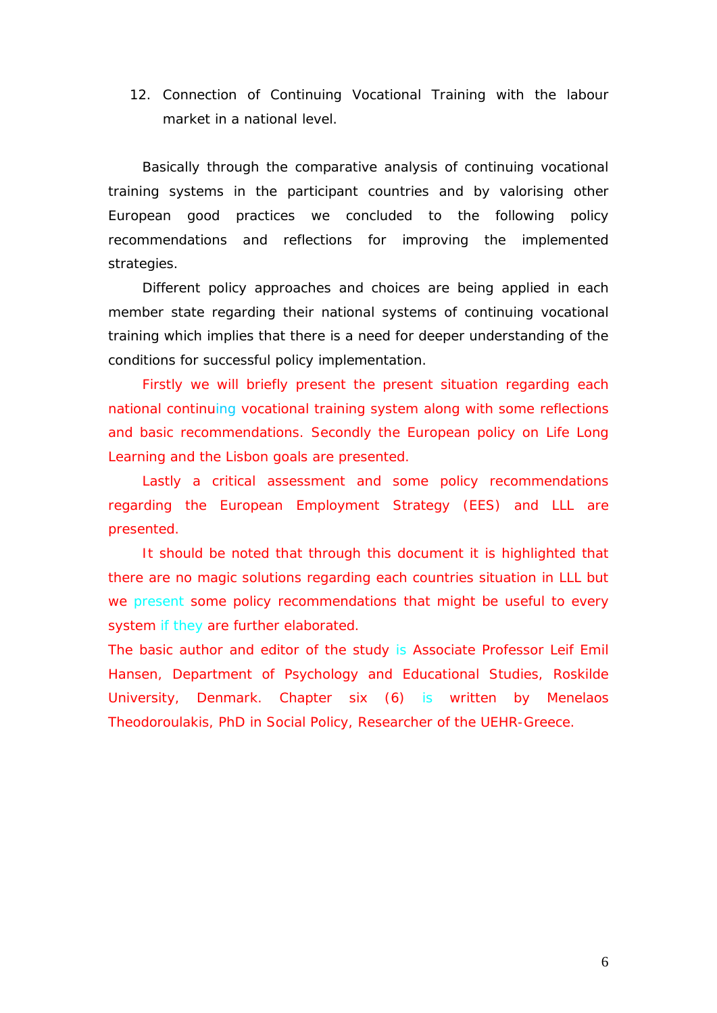12. Connection of Continuing Vocational Training with the labour market in a national level.

Basically through the comparative analysis of continuing vocational training systems in the participant countries and by valorising other European good practices we concluded to the following policy recommendations and reflections for improving the implemented strategies.

Different policy approaches and choices are being applied in each member state regarding their national systems of continuing vocational training which implies that there is a need for deeper understanding of the conditions for successful policy implementation.

Firstly we will briefly present the present situation regarding each national continuing vocational training system along with some reflections and basic recommendations. Secondly the European policy on Life Long Learning and the Lisbon goals are presented.

Lastly a critical assessment and some policy recommendations regarding the European Employment Strategy (EES) and LLL are presented.

It should be noted that through this document it is highlighted that there are no magic solutions regarding each countries situation in LLL but we present some policy recommendations that might be useful to every system if they are further elaborated.

The basic author and editor of the study is Associate Professor Leif Emil Hansen, Department of Psychology and Educational Studies, Roskilde University, Denmark. Chapter six (6) is written by Menelaos Theodoroulakis, PhD in Social Policy, Researcher of the UEHR-Greece.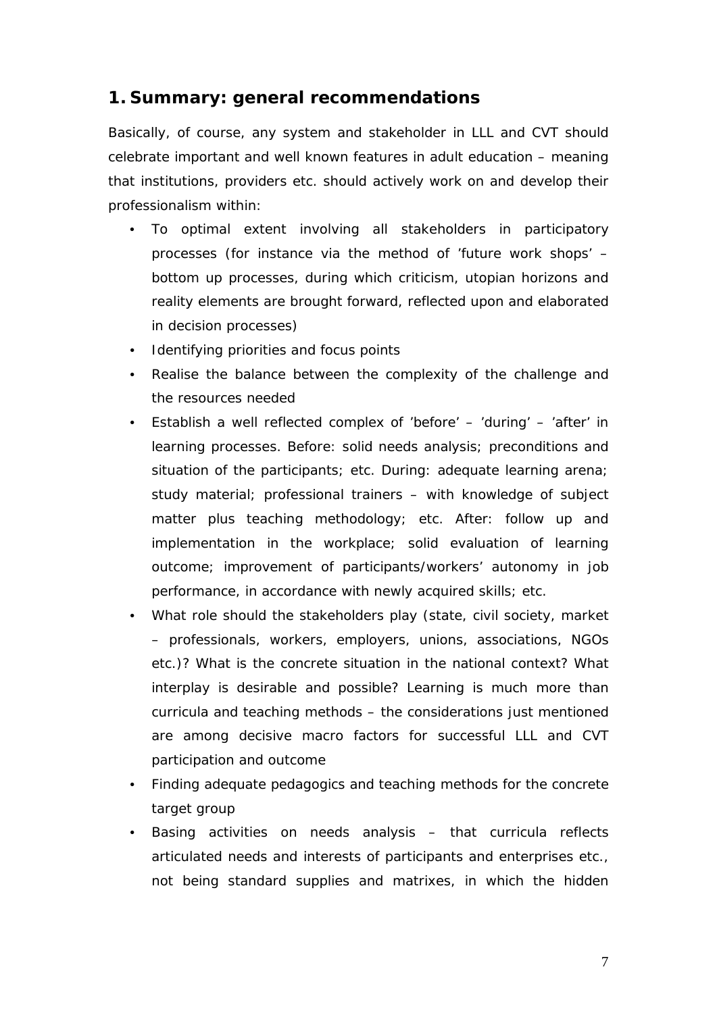### <span id="page-7-0"></span>**1. Summary: general recommendations**

Basically, of course, any system and stakeholder in LLL and CVT should celebrate important and well known features in adult education – meaning that institutions, providers etc. should actively work on and develop their professionalism within:

- To optimal extent involving all stakeholders in participatory processes (for instance via the method of 'future work shops' – bottom up processes, during which criticism, utopian horizons and reality elements are brought forward, reflected upon and elaborated in decision processes)
- Identifying priorities and focus points
- Realise the balance between the complexity of the challenge and the resources needed
- Establish a well reflected complex of 'before' 'during' 'after' in learning processes. *Before:* solid needs analysis; preconditions and situation of the participants; etc. *During:* adequate learning arena; study material; professional trainers – with knowledge of subject matter plus teaching methodology; etc. *After*: follow up and implementation in the workplace; solid evaluation of learning outcome; improvement of participants/workers' autonomy in job performance, in accordance with newly acquired skills; etc.
- What role should the stakeholders play (state, civil society, market – professionals, workers, employers, unions, associations, NGOs etc.)? What is the concrete situation in the national context? What interplay is desirable and possible? Learning is much more than curricula and teaching methods – the considerations just mentioned are among decisive macro factors for successful LLL and CVT participation and outcome
- Finding adequate pedagogics and teaching methods for the concrete target group
- Basing activities on needs analysis that curricula reflects articulated needs and interests of participants and enterprises etc., not being standard supplies and matrixes, in which the hidden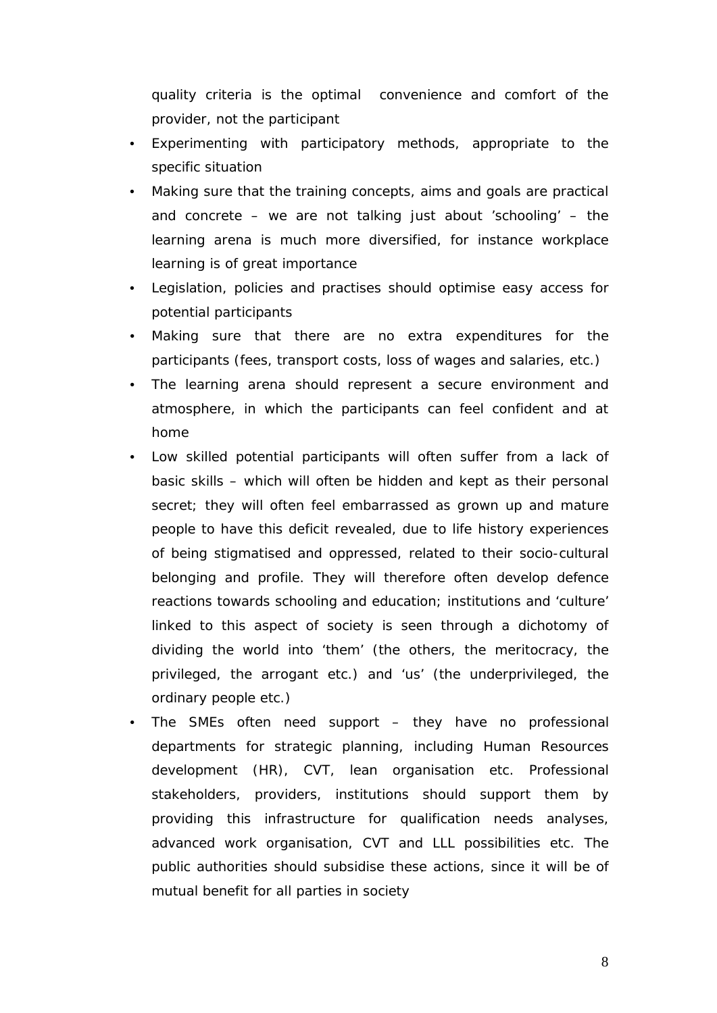quality criteria is the optimal convenience and comfort of the provider, not the participant

- Experimenting with participatory methods, appropriate to the specific situation
- Making sure that the training concepts, aims and goals are practical and concrete – we are not talking just about 'schooling' – the learning arena is much more diversified, for instance workplace learning is of great importance
- Legislation, policies and practises should optimise easy access for potential participants
- Making sure that there are no extra expenditures for the participants (fees, transport costs, loss of wages and salaries, etc.)
- The learning arena should represent a secure environment and atmosphere, in which the participants can feel confident and at home
- Low skilled potential participants will often suffer from a lack of basic skills – which will often be hidden and kept as their personal secret; they will often feel embarrassed as grown up and mature people to have this deficit revealed, due to life history experiences of being stigmatised and oppressed, related to their socio-cultural belonging and profile. They will therefore often develop defence reactions towards schooling and education; institutions and 'culture' linked to this aspect of society is seen through a dichotomy of dividing the world into 'them' (the others, the meritocracy, the privileged, the arrogant etc.) and 'us' (the underprivileged, the ordinary people etc.)
- The SMEs often need support they have no professional departments for strategic planning, including Human Resources development (HR), CVT, lean organisation etc. Professional stakeholders, providers, institutions should support them by providing this infrastructure for qualification needs analyses, advanced work organisation, CVT and LLL possibilities etc. The public authorities should subsidise these actions, since it will be of mutual benefit for all parties in society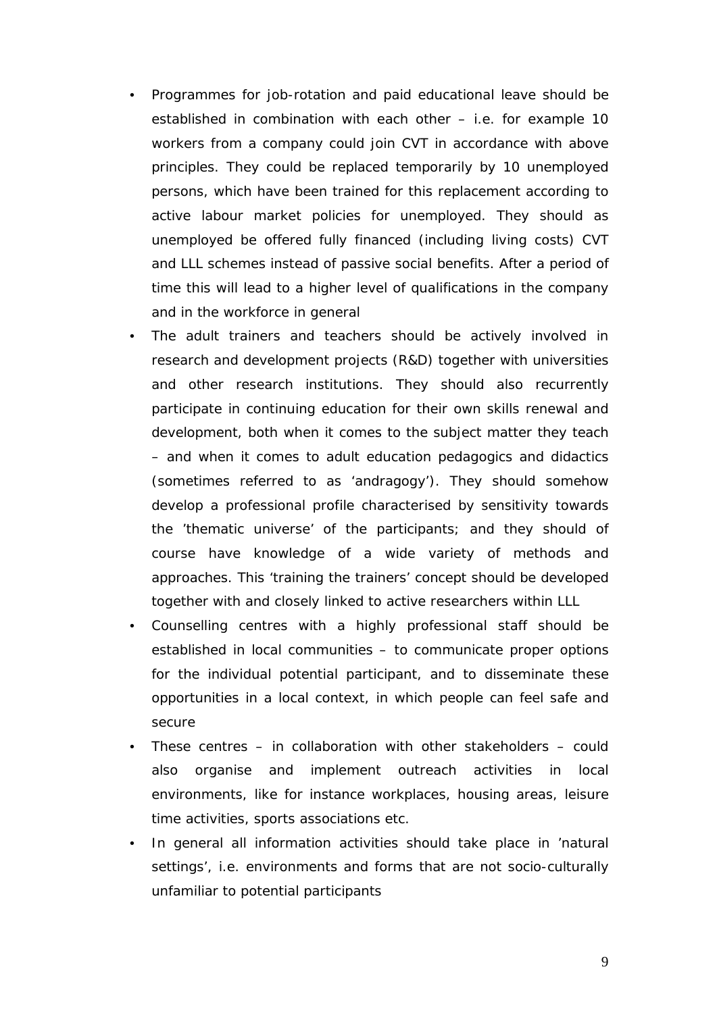- Programmes for job-rotation and paid educational leave should be established in combination with each other – i.e. for example 10 workers from a company could join CVT in accordance with above principles. They could be replaced temporarily by 10 unemployed persons, which have been trained for this replacement according to active labour market policies for unemployed. They should as unemployed be offered fully financed (including living costs) CVT and LLL schemes instead of passive social benefits. After a period of time this will lead to a higher level of qualifications in the company and in the workforce in general
- The adult trainers and teachers should be actively involved in research and development projects (R&D) together with universities and other research institutions. They should also recurrently participate in continuing education for their own skills renewal and development, both when it comes to the subject matter they teach – and when it comes to adult education pedagogics and didactics (sometimes referred to as 'andragogy'). They should somehow develop a professional profile characterised by sensitivity towards the 'thematic universe' of the participants; and they should of course have knowledge of a wide variety of methods and approaches. This 'training the trainers' concept should be developed together with and closely linked to active researchers within LLL
- Counselling centres with a highly professional staff should be established in local communities – to communicate proper options for the individual potential participant, and to disseminate these opportunities in a local context, in which people can feel safe and secure
- These centres in collaboration with other stakeholders could also organise and implement outreach activities in local environments, like for instance workplaces, housing areas, leisure time activities, sports associations etc.
- In general all information activities should take place in 'natural settings', i.e. environments and forms that are not socio-culturally unfamiliar to potential participants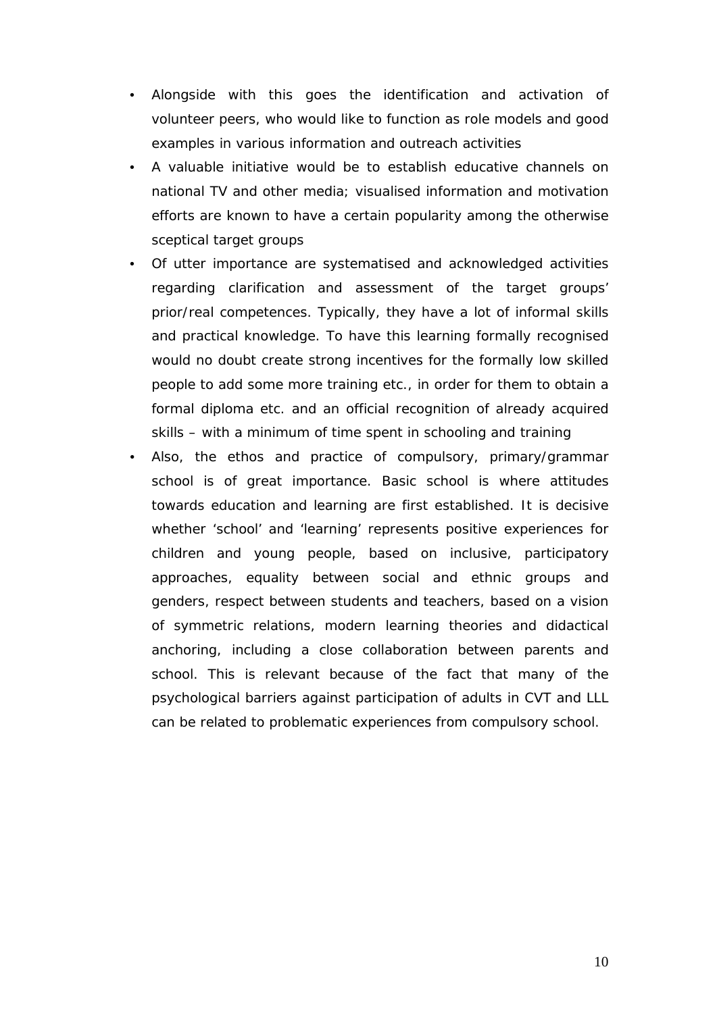- Alongside with this goes the identification and activation of volunteer peers, who would like to function as role models and good examples in various information and outreach activities
- A valuable initiative would be to establish educative channels on national TV and other media; visualised information and motivation efforts are known to have a certain popularity among the otherwise sceptical target groups
- Of utter importance are systematised and acknowledged activities regarding clarification and assessment of the target groups' prior/real competences. Typically, they have a lot of informal skills and practical knowledge. To have this learning formally recognised would no doubt create strong incentives for the formally low skilled people to add some more training etc., in order for them to obtain a formal diploma etc. and an official recognition of already acquired skills – with a minimum of time spent in schooling and training
- Also, the ethos and practice of compulsory, primary/grammar school is of great importance. Basic school is where attitudes towards education and learning are first established. It is decisive whether 'school' and 'learning' represents positive experiences for children and young people, based on inclusive, participatory approaches, equality between social and ethnic groups and genders, respect between students and teachers, based on a vision of symmetric relations, modern learning theories and didactical anchoring, including a close collaboration between parents and school. This is relevant because of the fact that many of the psychological barriers against participation of adults in CVT and LLL can be related to problematic experiences from compulsory school.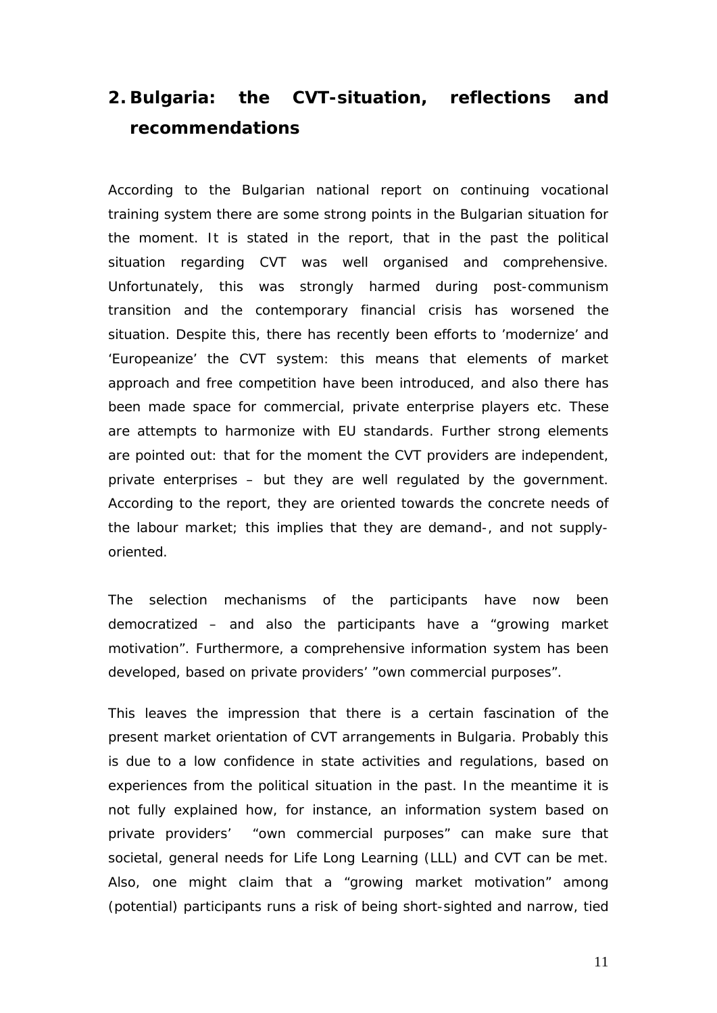### <span id="page-11-0"></span>**2. Bulgaria: the CVT-situation, reflections and recommendations**

According to the Bulgarian national report on continuing vocational training system there are some *strong points* in the Bulgarian situation for the moment. It is stated in the report, that in the past the political situation regarding CVT was well organised and comprehensive. Unfortunately, this was strongly harmed during post-communism transition and the contemporary financial crisis has worsened the situation. Despite this, there has recently been efforts to 'modernize' and 'Europeanize' the CVT system: this means that elements of market approach and free competition have been introduced, and also there has been made space for commercial, private enterprise players etc. These are attempts to harmonize with EU standards. Further strong elements are pointed out: that for the moment the CVT providers are independent, private enterprises – but they are well regulated by the government. According to the report, they are oriented towards the concrete needs of the labour market; this implies that they are demand-, and not supplyoriented.

The selection mechanisms of the participants have now been democratized – and also the participants have a "growing market motivation". Furthermore, a comprehensive information system has been developed, based on private providers' "own commercial purposes".

This leaves the impression that there is a certain fascination of the present market orientation of CVT arrangements in Bulgaria. Probably this is due to a low confidence in state activities and regulations, based on experiences from the political situation in the past. In the meantime it is not fully explained how, for instance, an information system based on private providers' "own commercial purposes" can make sure that societal, general needs for Life Long Learning (LLL) and CVT can be met. Also, one might claim that a "growing market motivation" among (potential) participants runs a risk of being short-sighted and narrow, tied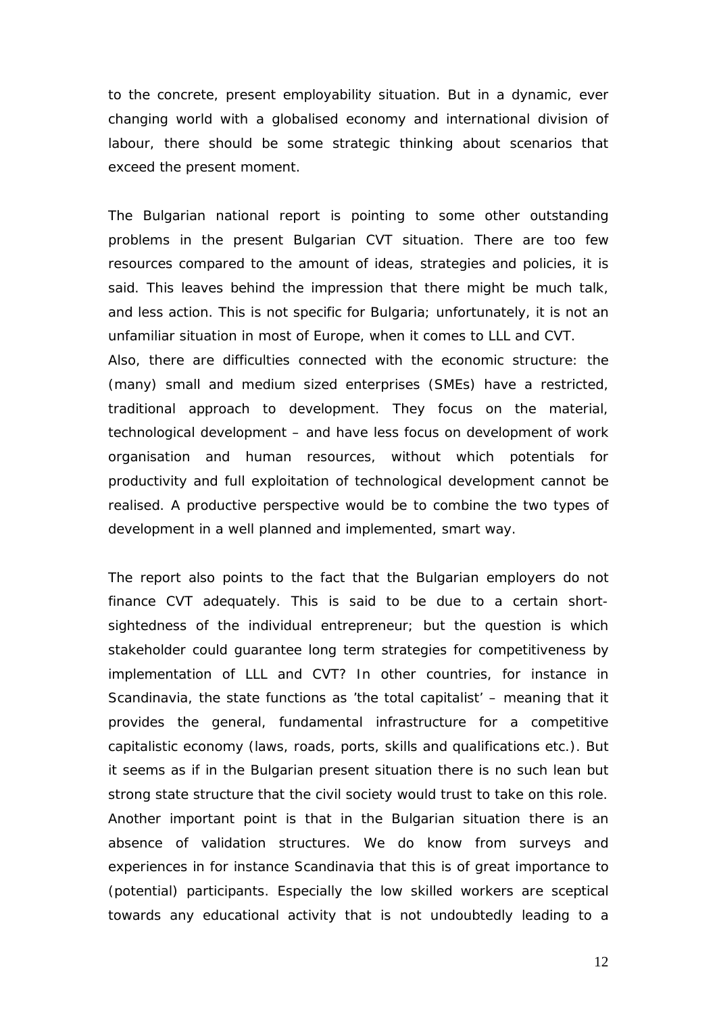to the concrete, present employability situation. But in a dynamic, ever changing world with a globalised economy and international division of labour, there should be some strategic thinking about scenarios that exceed the present moment.

The Bulgarian national report is pointing to some other *outstanding problems* in the present Bulgarian CVT situation. There are too few resources compared to the amount of ideas, strategies and policies, it is said. This leaves behind the impression that there might be much talk, and less action. This is not specific for Bulgaria; unfortunately, it is not an unfamiliar situation in most of Europe, when it comes to LLL and CVT. Also, there are difficulties connected with the economic structure: the (many) small and medium sized enterprises (SMEs) have a restricted, traditional approach to development. They focus on the material, technological development – and have less focus on development of work organisation and human resources, without which potentials for productivity and full exploitation of technological development cannot be realised. A productive perspective would be to combine the two types of development in a well planned and implemented, smart way.

The report also points to the fact that the Bulgarian employers do not finance CVT adequately. This is said to be due to a certain shortsightedness of the individual entrepreneur; but the question is which stakeholder could guarantee long term strategies for competitiveness by implementation of LLL and CVT? In other countries, for instance in Scandinavia, the state functions as 'the total capitalist' – meaning that it provides the general, fundamental infrastructure for a competitive capitalistic economy (laws, roads, ports, skills and qualifications etc.). But it seems as if in the Bulgarian present situation there is no such lean but strong state structure that the civil society would trust to take on this role. Another important point is that in the Bulgarian situation there is an absence of validation structures. We do know from surveys and experiences in for instance Scandinavia that this is of great importance to (potential) participants. Especially the low skilled workers are sceptical towards any educational activity that is not undoubtedly leading to a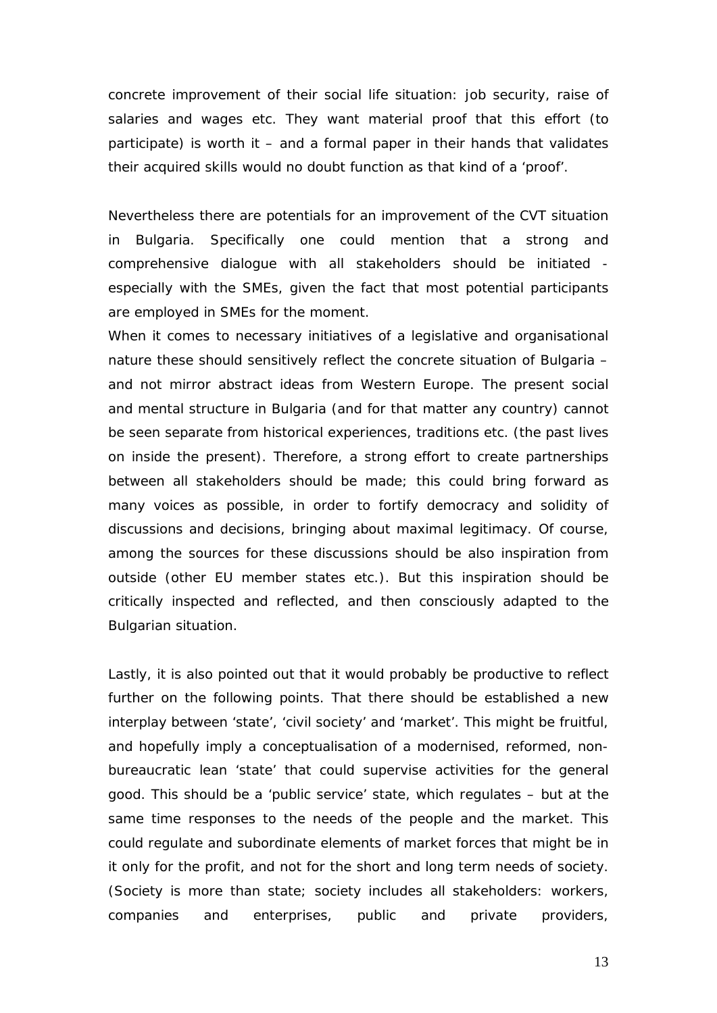concrete improvement of their social life situation: job security, raise of salaries and wages etc. They want material proof that this effort (to participate) is worth it – and a formal paper in their hands that validates their acquired skills would no doubt function as that kind of a 'proof'.

Nevertheless there are potentials for an improvement of the CVT situation in Bulgaria. Specifically one could mention that a strong and comprehensive dialogue with all stakeholders should be initiated especially with the SMEs, given the fact that most potential participants are employed in SMEs for the moment.

When it comes to necessary initiatives of a legislative and organisational nature these should sensitively reflect the concrete situation of Bulgaria – and not mirror abstract ideas from Western Europe. The present social and mental structure in Bulgaria (and for that matter any country) cannot be seen separate from historical experiences, traditions etc. (the past lives on inside the present). Therefore, a strong effort to create partnerships between all stakeholders should be made; this could bring forward as many voices as possible, in order to fortify democracy and solidity of discussions and decisions, bringing about maximal legitimacy. Of course, among the sources for these discussions should be also inspiration from outside (other EU member states etc.). But this inspiration should be critically inspected and reflected, and then consciously adapted to the Bulgarian situation.

Lastly, it is also pointed out that it would probably be productive to reflect further on the following points. That there should be established a new interplay between 'state', 'civil society' and 'market'. This might be fruitful, and hopefully imply a conceptualisation of a modernised, reformed, nonbureaucratic lean 'state' that could supervise activities for the general good. This should be a 'public service' state, which regulates – but at the same time responses to the needs of the people and the market. This could regulate and subordinate elements of market forces that might be in it only for the profit, and not for the short and long term needs of society. (Society is more than state; society includes all stakeholders: workers, companies and enterprises, public and private providers,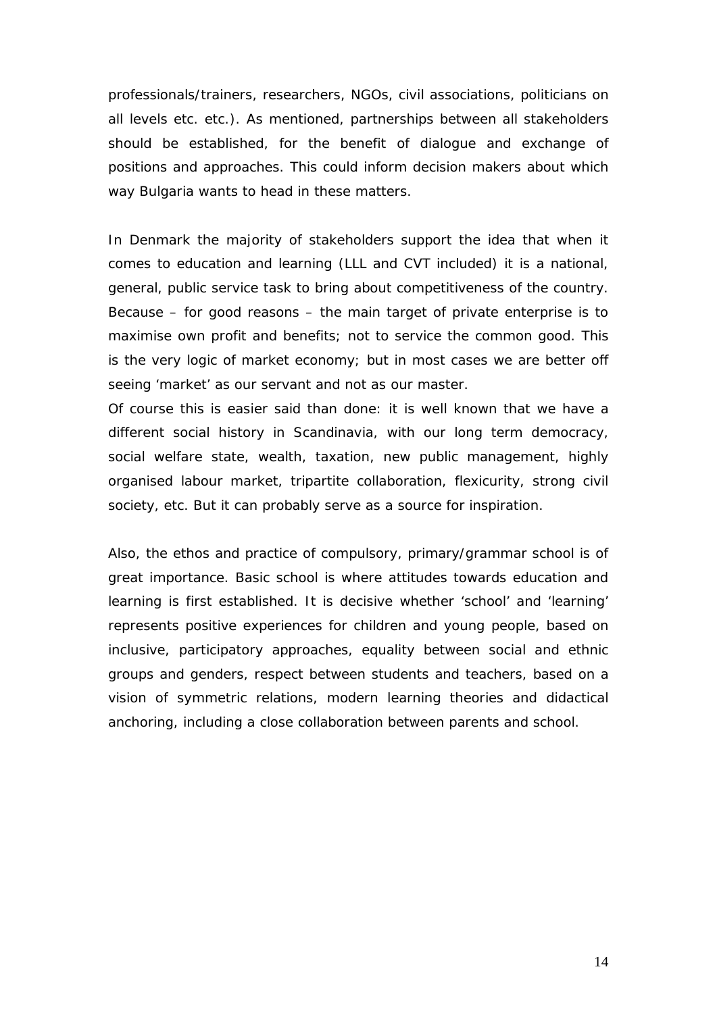professionals/trainers, researchers, NGOs, civil associations, politicians on all levels etc. etc.). As mentioned, partnerships between all stakeholders should be established, for the benefit of dialogue and exchange of positions and approaches. This could inform decision makers about which way Bulgaria wants to head in these matters.

In Denmark the majority of stakeholders support the idea that when it comes to education and learning (LLL and CVT included) it is a national, general, public service task to bring about competitiveness of the country. Because – for good reasons – the main target of private enterprise is to maximise own profit and benefits; not to service the common good. This is the very logic of market economy; but in most cases we are better off seeing 'market' as our servant and not as our master.

Of course this is easier said than done: it is well known that we have a different social history in Scandinavia, with our long term democracy, social welfare state, wealth, taxation, new public management, highly organised labour market, tripartite collaboration, flexicurity, strong civil society, etc. But it can probably serve as a source for inspiration.

Also, the ethos and practice of compulsory, primary/grammar school is of great importance. Basic school is where attitudes towards education and learning is first established. It is decisive whether 'school' and 'learning' represents positive experiences for children and young people, based on inclusive, participatory approaches, equality between social and ethnic groups and genders, respect between students and teachers, based on a vision of symmetric relations, modern learning theories and didactical anchoring, including a close collaboration between parents and school.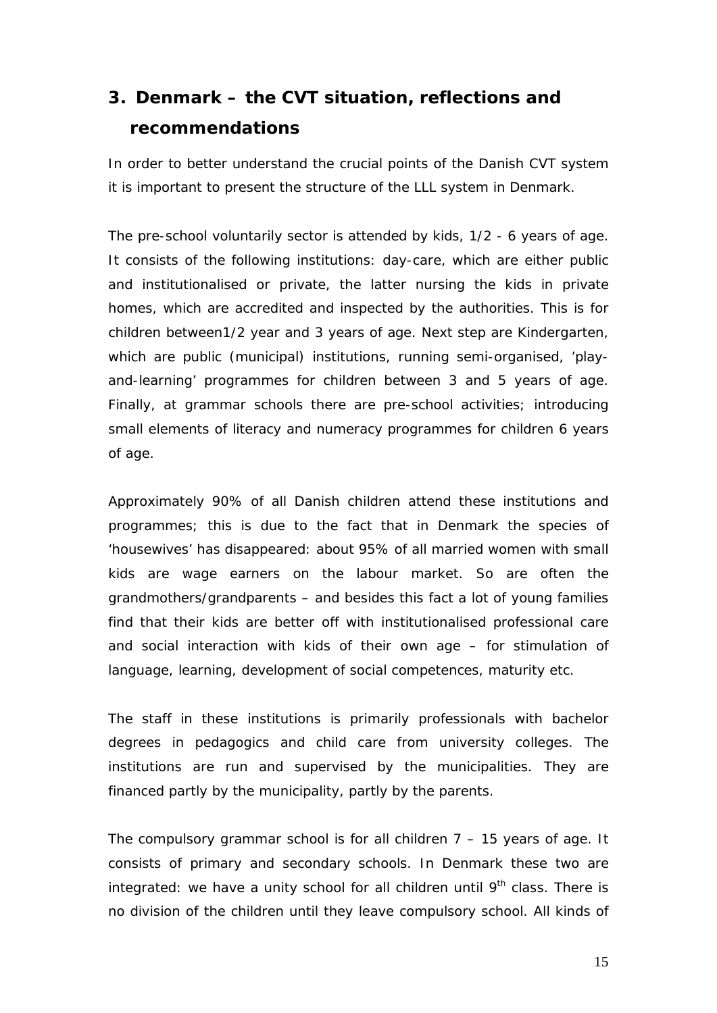# <span id="page-15-0"></span>**3. Denmark – the CVT situation, reflections and recommendations**

In order to better understand the crucial points of the Danish CVT system it is important to present the structure of the *LLL system in Denmark*.

The *pre-school* voluntarily sector is attended by kids, 1/2 - 6 years of age. It consists of the following institutions: day-care, which are either public and institutionalised or private, the latter nursing the kids in private homes, which are accredited and inspected by the authorities. This is for children between1/2 year and 3 years of age. Next step are Kindergarten, which are public (municipal) institutions, running semi-organised, 'playand-learning' programmes for children between 3 and 5 years of age. Finally, at grammar schools there are pre-school activities; introducing small elements of literacy and numeracy programmes for children 6 years of age.

Approximately 90% of all Danish children attend these institutions and programmes; this is due to the fact that in Denmark the species of 'housewives' has disappeared: about 95% of all married women with small kids are wage earners on the labour market. So are often the grandmothers/grandparents – and besides this fact a lot of young families find that their kids are better off with institutionalised professional care and social interaction with kids of their own age – for stimulation of language, learning, development of social competences, maturity etc.

The staff in these institutions is primarily professionals with bachelor degrees in pedagogics and child care from university colleges. The institutions are run and supervised by the municipalities. They are financed partly by the municipality, partly by the parents.

The *compulsory grammar school* is for all children 7 – 15 years of age. It consists of primary and secondary schools. In Denmark these two are integrated: we have a unity school for all children until  $9<sup>th</sup>$  class. There is no division of the children until they leave compulsory school. All kinds of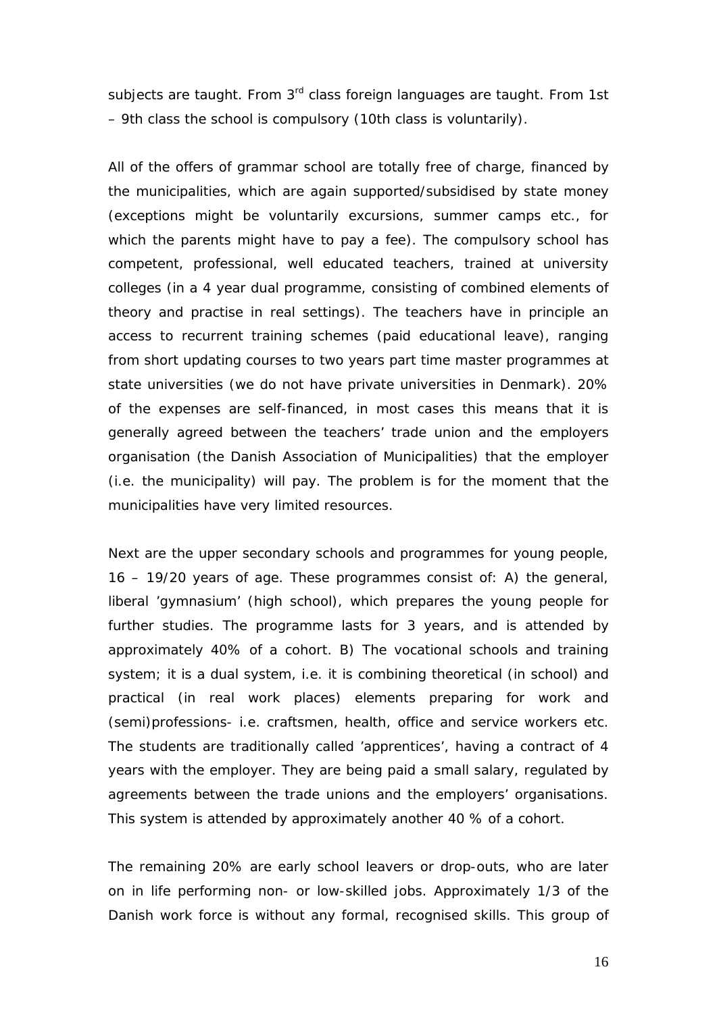subjects are taught. From 3<sup>rd</sup> class foreign languages are taught. From 1st – 9th class the school is compulsory (10th class is voluntarily).

All of the offers of grammar school are totally free of charge, financed by the municipalities, which are again supported/subsidised by state money (exceptions might be voluntarily excursions, summer camps etc., for which the parents might have to pay a fee). The compulsory school has competent, professional, well educated teachers, trained at university colleges (in a 4 year dual programme, consisting of combined elements of theory and practise in real settings). The teachers have in principle an access to recurrent training schemes (paid educational leave), ranging from short updating courses to two years part time master programmes at state universities (we do not have private universities in Denmark). 20% of the expenses are self-financed, in most cases this means that it is generally agreed between the teachers' trade union and the employers organisation (the Danish Association of Municipalities) that the employer (i.e. the municipality) will pay. The problem is for the moment that the municipalities have very limited resources.

Next are the upper secondary schools *and programmes* for young people, 16 – 19/20 years of age. These programmes consist of: A) the general, liberal 'gymnasium' (high school), which prepares the young people for further studies. The programme lasts for 3 years, and is attended by approximately 40% of a cohort. B) The vocational schools and training system; it is a dual system, i.e. it is combining theoretical (in school) and practical (in real work places) elements preparing for work and (semi)professions- i.e. craftsmen, health, office and service workers etc. The students are traditionally called 'apprentices', having a contract of 4 years with the employer. They are being paid a small salary, regulated by agreements between the trade unions and the employers' organisations. This system is attended by approximately another 40 % of a cohort.

The remaining 20% are early school leavers or drop-outs, who are later on in life performing non- or low-skilled jobs. Approximately 1/3 of the Danish work force is without any formal, recognised skills. This group of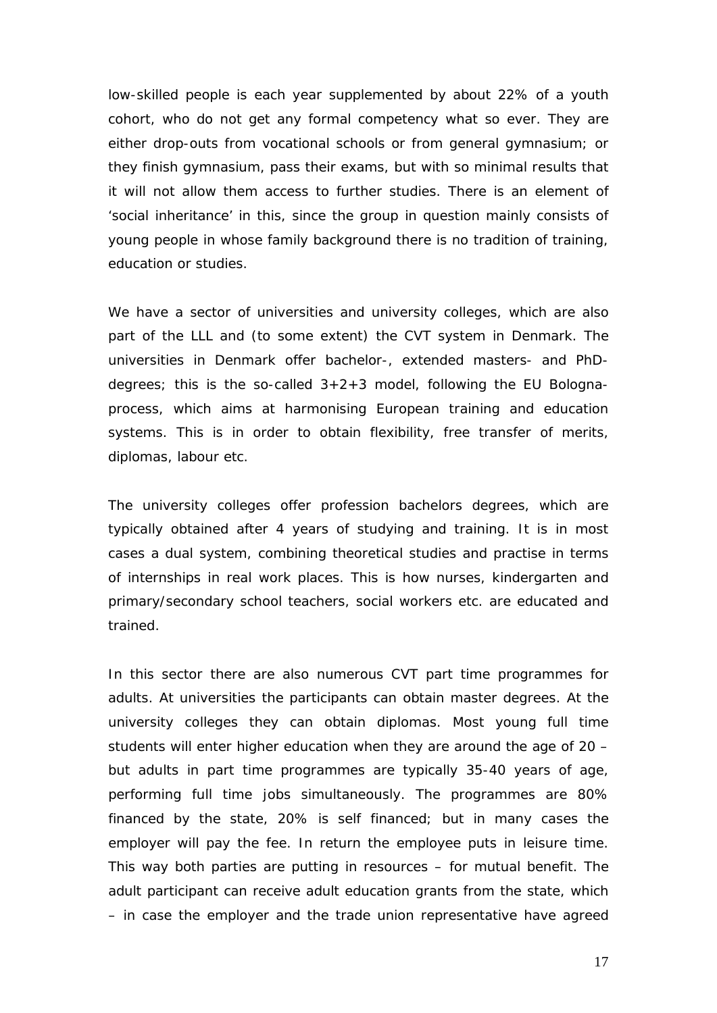low-skilled people is each year supplemented by about 22% of a youth cohort, who do not get any formal competency what so ever. They are either drop-outs from vocational schools or from general gymnasium; or they finish gymnasium, pass their exams, but with so minimal results that it will not allow them access to further studies. There is an element of 'social inheritance' in this, since the group in question mainly consists of young people in whose family background there is no tradition of training, education or studies.

We have a sector of *universities and university colleges,* which are also part of the LLL and (to some extent) the CVT system in Denmark. The universities in Denmark offer bachelor-, extended masters- and PhDdegrees; this is the so-called  $3+2+3$  model, following the EU Bolognaprocess, which aims at harmonising European training and education systems. This is in order to obtain flexibility, free transfer of merits, diplomas, labour etc.

The university colleges offer profession bachelors degrees, which are typically obtained after 4 years of studying and training. It is in most cases a dual system, combining theoretical studies and practise in terms of internships in real work places. This is how nurses, kindergarten and primary/secondary school teachers, social workers etc. are educated and trained.

In this sector there are also numerous CVT part time programmes for adults. At universities the participants can obtain master degrees. At the university colleges they can obtain diplomas. Most young full time students will enter higher education when they are around the age of 20 – but adults in part time programmes are typically 35-40 years of age, performing full time jobs simultaneously. The programmes are 80% financed by the state, 20% is self financed; but in many cases the employer will pay the fee. In return the employee puts in leisure time. This way both parties are putting in resources – for mutual benefit. The adult participant can receive adult education grants from the state, which – in case the employer and the trade union representative have agreed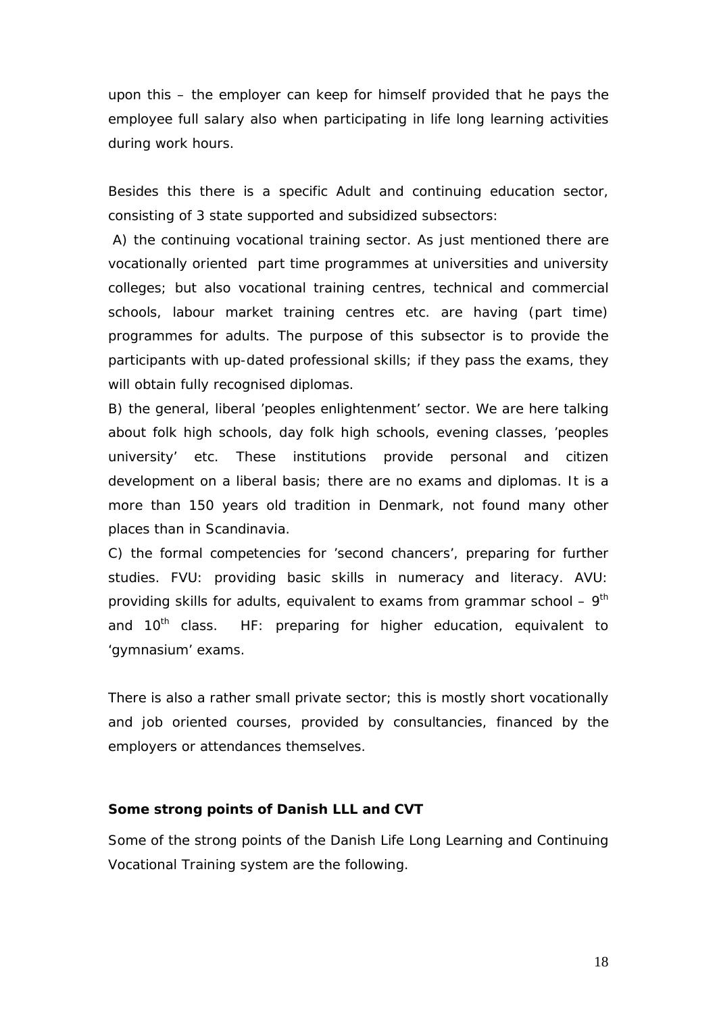upon this – the employer can keep for himself provided that he pays the employee full salary also when participating in life long learning activities during work hours.

Besides this there is a specific *Adult and continuing education sector,*  consisting of 3 state supported and subsidized subsectors:

A) *the continuing vocational training sector*. As just mentioned there are vocationally oriented part time programmes at universities and university colleges; but also vocational training centres, technical and commercial schools, labour market training centres etc. are having (part time) programmes for adults. The purpose of this subsector is to provide the participants with up-dated professional skills; if they pass the exams, they will obtain fully recognised diplomas.

B) *the general, liberal 'peoples enlightenment' sector.* We are here talking about folk high schools, day folk high schools, evening classes, 'peoples university' etc. These institutions provide personal and citizen development on a liberal basis; there are no exams and diplomas. It is a more than 150 years old tradition in Denmark, not found many other places than in Scandinavia.

C) *the formal competencies for 'second chancers'*, preparing for further studies. FVU: providing basic skills in numeracy and literacy. AVU: providing skills for adults, equivalent to exams from grammar school  $-9<sup>th</sup>$ and  $10<sup>th</sup>$  class. HF: preparing for higher education, equivalent to 'gymnasium' exams.

There is also a rather small *private sector*; this is mostly short vocationally and job oriented courses, provided by consultancies, financed by the employers or attendances themselves.

#### <span id="page-18-0"></span>**Some strong points of Danish LLL and CVT**

Some of the strong points of the Danish Life Long Learning and Continuing Vocational Training system are the following.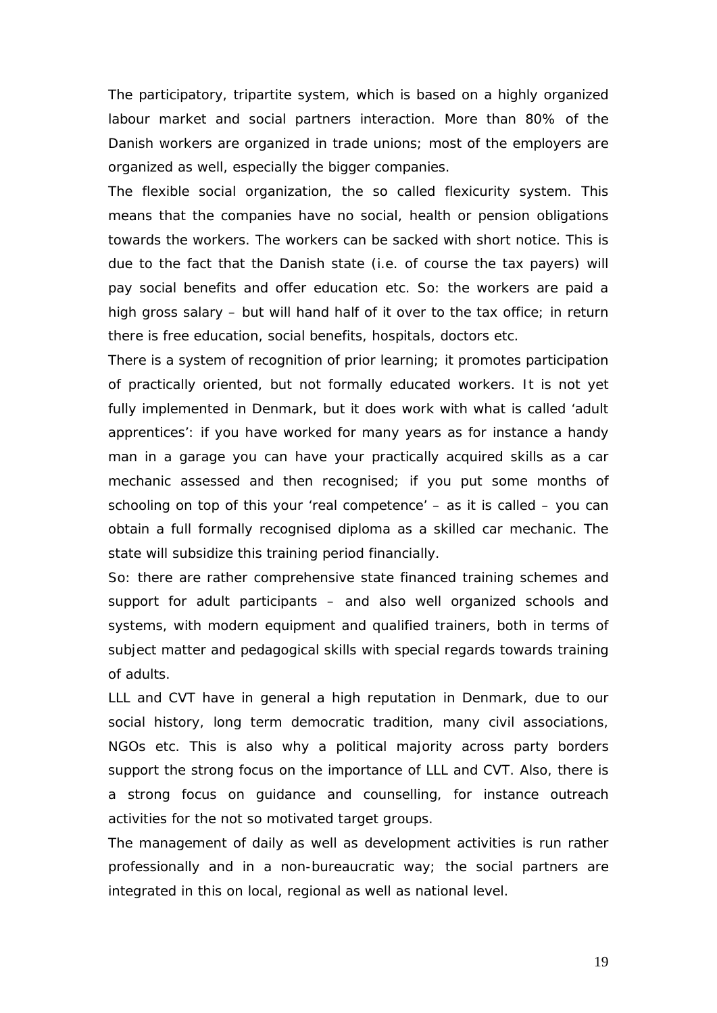*The participatory, tripartite system*, which is based on a highly organized labour market and social partners interaction. More than 80% of the Danish workers are organized in trade unions; most of the employers are organized as well, especially the bigger companies.

The flexible social organization, the so called *flexicurity* system. This means that the companies have no social, health or pension obligations towards the workers. The workers can be sacked with short notice. This is due to the fact that the Danish state (i.e. of course the tax payers) will pay social benefits and offer education etc. So: the workers are paid a high gross salary – but will hand half of it over to the tax office; in return there is free education, social benefits, hospitals, doctors etc.

There is a system of *recognition of prior learning*; it promotes participation of practically oriented, but not formally educated workers. It is not yet fully implemented in Denmark, but it does work with what is called 'adult apprentices': if you have worked for many years as for instance a handy man in a garage you can have your practically acquired skills as a car mechanic assessed and then recognised; if you put some months of schooling on top of this your 'real competence' – as it is called – you can obtain a full formally recognised diploma as a skilled car mechanic. The state will subsidize this training period financially.

So: there are rather *comprehensive state financed training schemes* and support for adult participants – and also well organized schools and systems, with modern equipment and qualified trainers, both in terms of subject matter and pedagogical skills with special regards towards training of adults.

LLL and CVT have in general a *high reputation* in Denmark, due to our social history, long term democratic tradition, many civil associations, NGOs etc. This is also why a political majority across party borders support the strong focus on the importance of LLL and CVT. Also, there is a strong focus on *guidance and counselling,* for instance outreach activities for the not so motivated target groups.

The *management* of daily as well as development activities is run rather professionally and in a non-bureaucratic way; the social partners are integrated in this on local, regional as well as national level.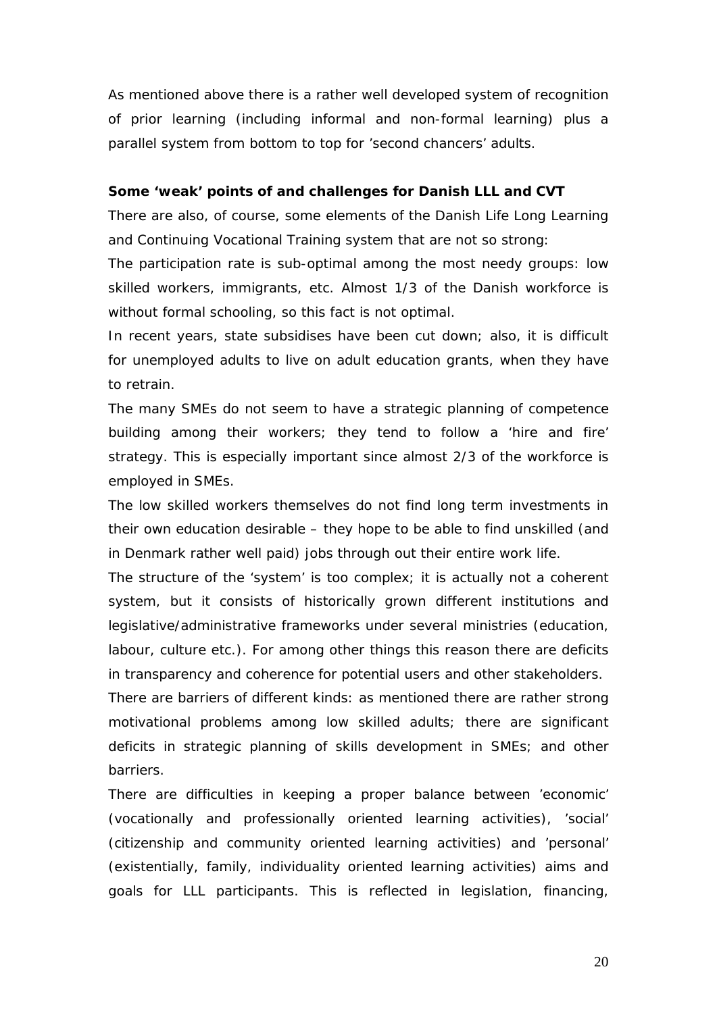As mentioned above there is a rather well developed system of *recognition of prior learning* (including informal and non-formal learning) plus a parallel system from bottom to top for 'second chancers' adults.

#### **Some 'weak' points of and challenges for Danish LLL and CVT**

There are also, of course, some elements of the Danish Life Long Learning and Continuing Vocational Training system that are not so strong:

The participation rate is sub-optimal among the most needy groups: low skilled workers, immigrants, etc. Almost 1/3 of the Danish workforce is without formal schooling, so this fact is not optimal.

In recent years, state subsidises have been cut down; also, it is difficult for unemployed adults to live on adult education grants, when they have to retrain.

The many SMEs do not seem to have a strategic planning of competence building among their workers; they tend to follow a 'hire and fire' strategy. This is especially important since almost 2/3 of the workforce is employed in SMEs.

The low skilled workers themselves do not find long term investments in their own education desirable – they hope to be able to find unskilled (and in Denmark rather well paid) jobs through out their entire work life.

The structure of the 'system' is too complex; it is actually not a coherent system, but it consists of historically grown different institutions and legislative/administrative frameworks under several ministries (education, labour, culture etc.). For among other things this reason there are deficits in transparency and coherence for potential users and other stakeholders.

There are barriers of different kinds: as mentioned there are rather strong motivational problems among low skilled adults; there are significant deficits in strategic planning of skills development in SMEs; and other barriers.

There are difficulties in keeping a proper balance between 'economic' (vocationally and professionally oriented learning activities), 'social' (citizenship and community oriented learning activities) and 'personal' (existentially, family, individuality oriented learning activities) aims and goals for LLL participants. This is reflected in legislation, financing,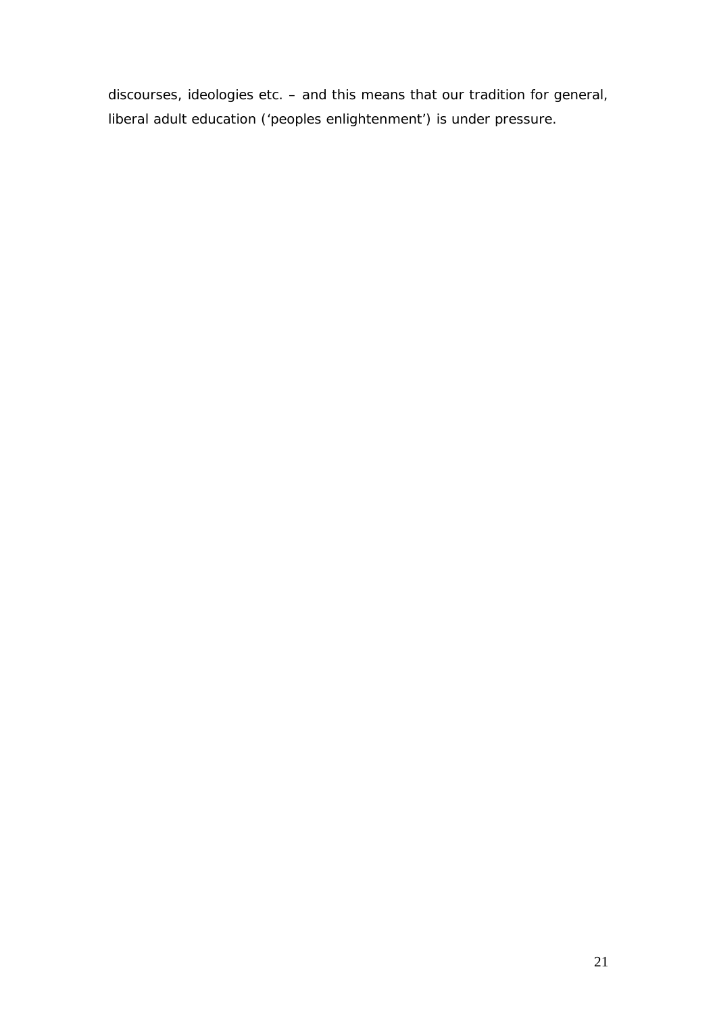discourses, ideologies etc. – and this means that our tradition for general, liberal adult education ('peoples enlightenment') is under pressure.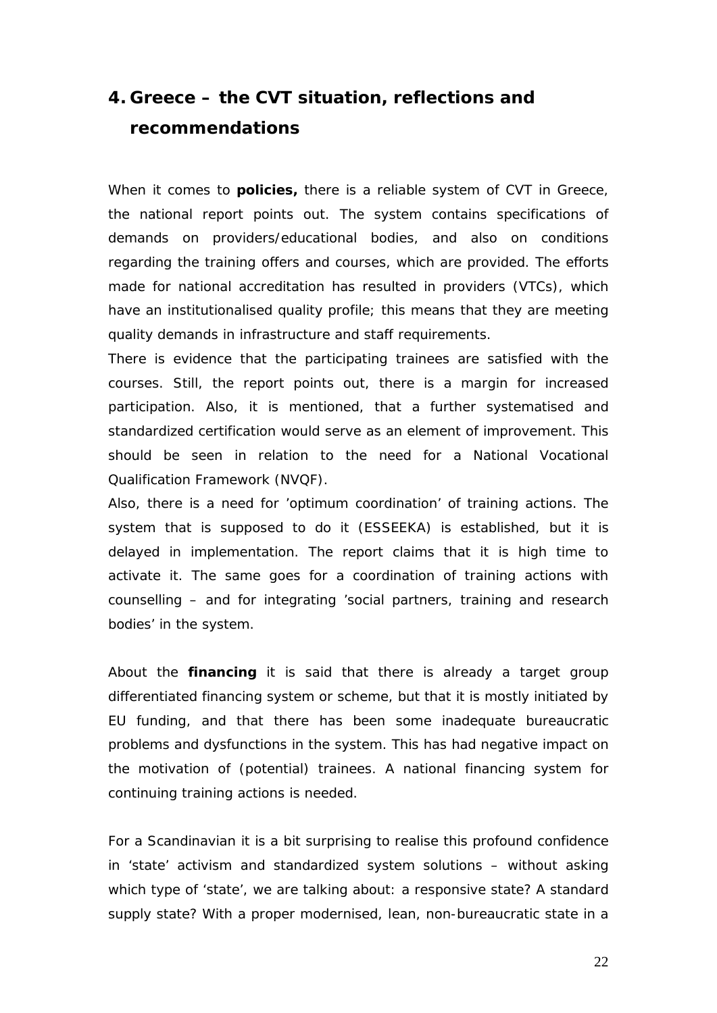### <span id="page-22-0"></span>**4. Greece – the CVT situation, reflections and recommendations**

When it comes to **policies,** there is a reliable system of CVT in Greece, the national report points out. The system contains specifications of demands on providers/educational bodies, and also on conditions regarding the training offers and courses, which are provided. The efforts made for national accreditation has resulted in providers (VTCs), which have an institutionalised quality profile; this means that they are meeting quality demands in infrastructure and staff requirements.

There is evidence that the participating trainees are satisfied with the courses. Still, the report points out, there is a margin for increased participation. Also, it is mentioned, that a further systematised and standardized certification would serve as an element of improvement. This should be seen in relation to the need for a National Vocational Qualification Framework (NVQF).

Also, there is a need for 'optimum coordination' of training actions. The system that is supposed to do it (ESSEEKA) is established, but it is delayed in implementation. The report claims that it is high time to activate it. The same goes for a coordination of training actions with counselling – and for integrating 'social partners, training and research bodies' in the system.

About the **financing** it is said that there is already a target group differentiated financing system or scheme, but that it is mostly initiated by EU funding, and that there has been some inadequate bureaucratic problems and dysfunctions in the system. This has had negative impact on the motivation of (potential) trainees. A national financing system for continuing training actions is needed.

For a Scandinavian it is a bit surprising to realise this profound confidence in 'state' activism and standardized system solutions – without asking which type of 'state', we are talking about: a responsive state? A standard supply state? With a proper modernised, lean, non-bureaucratic state in a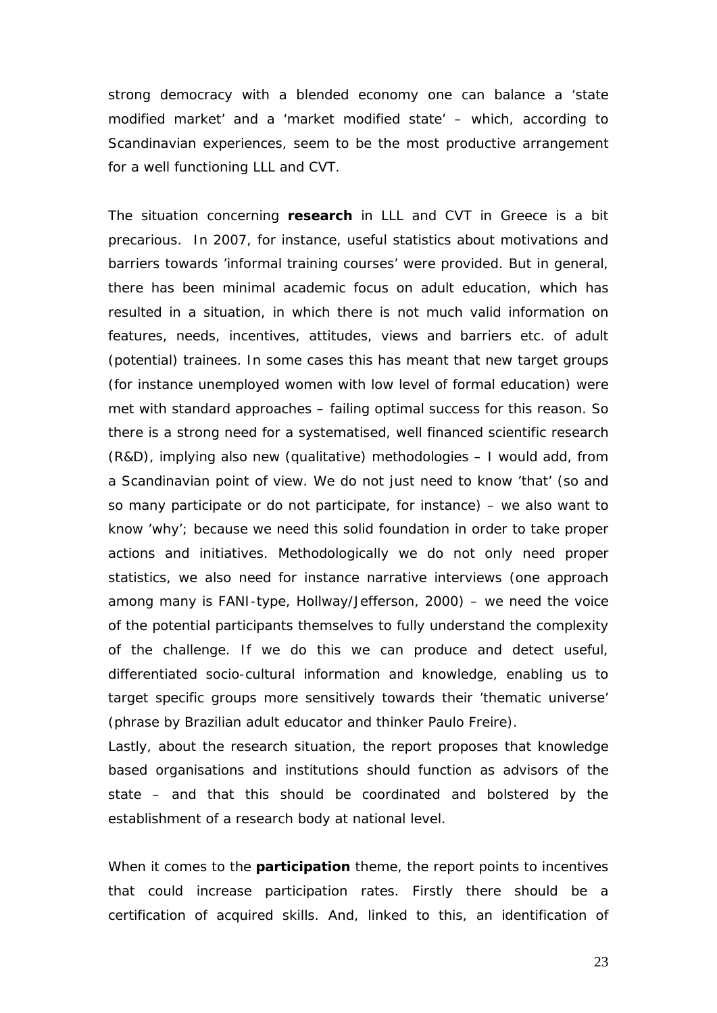strong democracy with a blended economy one can balance a 'state modified market' and a 'market modified state' – which, according to Scandinavian experiences, seem to be the most productive arrangement for a well functioning LLL and CVT.

The situation concerning **research** in LLL and CVT in Greece is a bit precarious. In 2007, for instance, useful statistics about motivations and barriers towards 'informal training courses' were provided. But in general, there has been minimal academic focus on adult education, which has resulted in a situation, in which there is not much valid information on features, needs, incentives, attitudes, views and barriers etc. of adult (potential) trainees. In some cases this has meant that new target groups (for instance unemployed women with low level of formal education) were met with standard approaches – failing optimal success for this reason. So there is a strong need for a systematised, well financed scientific research (R&D), implying also new (qualitative) methodologies – I would add, from a Scandinavian point of view. We do not just need to know 'that' (so and so many participate or do not participate, for instance) – we also want to know 'why'; because we need this solid foundation in order to take proper actions and initiatives. Methodologically we do not only need proper statistics, we also need for instance narrative interviews (one approach among many is FANI-type, Hollway/Jefferson, 2000) – we need the voice of the potential participants themselves to fully understand the complexity of the challenge. If we do this we can produce and detect useful, differentiated socio-cultural information and knowledge, enabling us to target specific groups more sensitively towards their 'thematic universe' (phrase by Brazilian adult educator and thinker Paulo Freire).

Lastly, about the research situation, the report proposes that knowledge based organisations and institutions should function as advisors of the state – and that this should be coordinated and bolstered by the establishment of a research body at national level.

When it comes to the **participation** theme, the report points to incentives that could increase participation rates. Firstly there should be a certification of acquired skills. And, linked to this, an identification of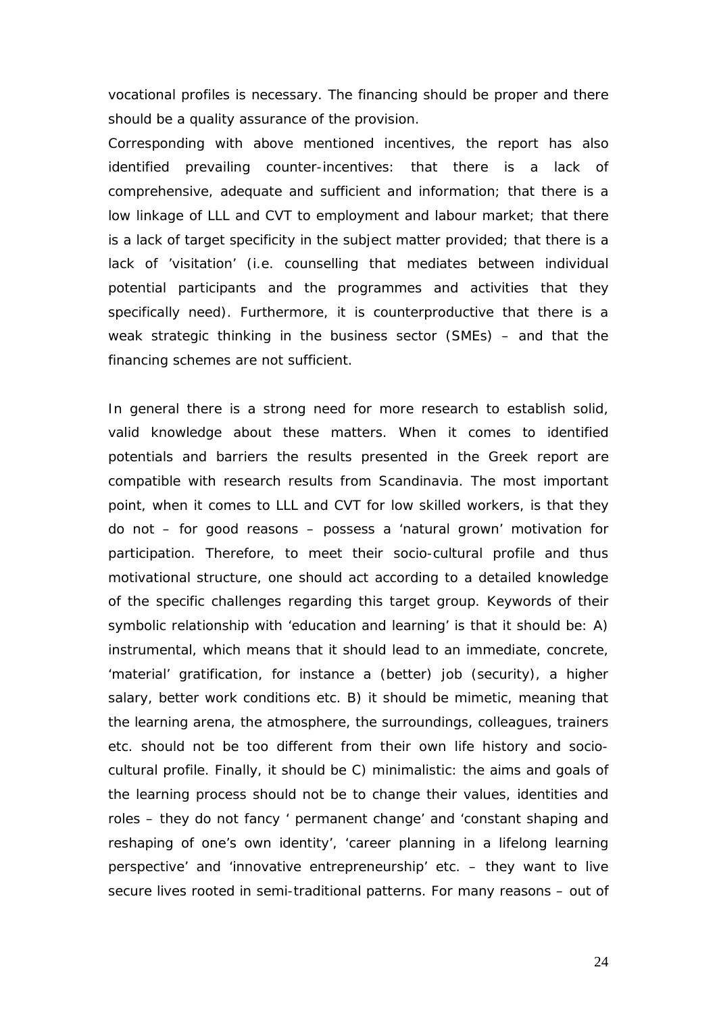vocational profiles is necessary. The financing should be proper and there should be a quality assurance of the provision.

Corresponding with above mentioned incentives, the report has also identified prevailing counter-incentives: that there is a lack of comprehensive, adequate and sufficient and information; that there is a low linkage of LLL and CVT to employment and labour market; that there is a lack of target specificity in the subject matter provided; that there is a lack of 'visitation' (i.e. counselling that mediates between individual potential participants and the programmes and activities that they specifically need). Furthermore, it is counterproductive that there is a weak strategic thinking in the business sector (SMEs) – and that the financing schemes are not sufficient.

In general there is a strong need for more research to establish solid, valid knowledge about these matters. When it comes to identified potentials and barriers the results presented in the Greek report are compatible with research results from Scandinavia. The most important point, when it comes to LLL and CVT for low skilled workers, is that they do not – for good reasons – possess a 'natural grown' motivation for participation. Therefore, to meet their socio-cultural profile and thus motivational structure, one should act according to a detailed knowledge of the specific challenges regarding this target group. Keywords of their symbolic relationship with 'education and learning' is that it should be: A) *instrumental*, which means that it should lead to an immediate, concrete, 'material' gratification, for instance a (better) job (security), a higher salary, better work conditions etc. B) it should be *mimetic*, meaning that the learning arena, the atmosphere, the surroundings, colleagues, trainers etc. should not be too different from their own life history and sociocultural profile. Finally, it should be C*) minimalistic:* the aims and goals of the learning process should not be to change their values, identities and roles – they do not fancy ' permanent change' and 'constant shaping and reshaping of one's own identity', 'career planning in a lifelong learning perspective' and 'innovative entrepreneurship' etc. – they want to live secure lives rooted in semi-traditional patterns. For many reasons – out of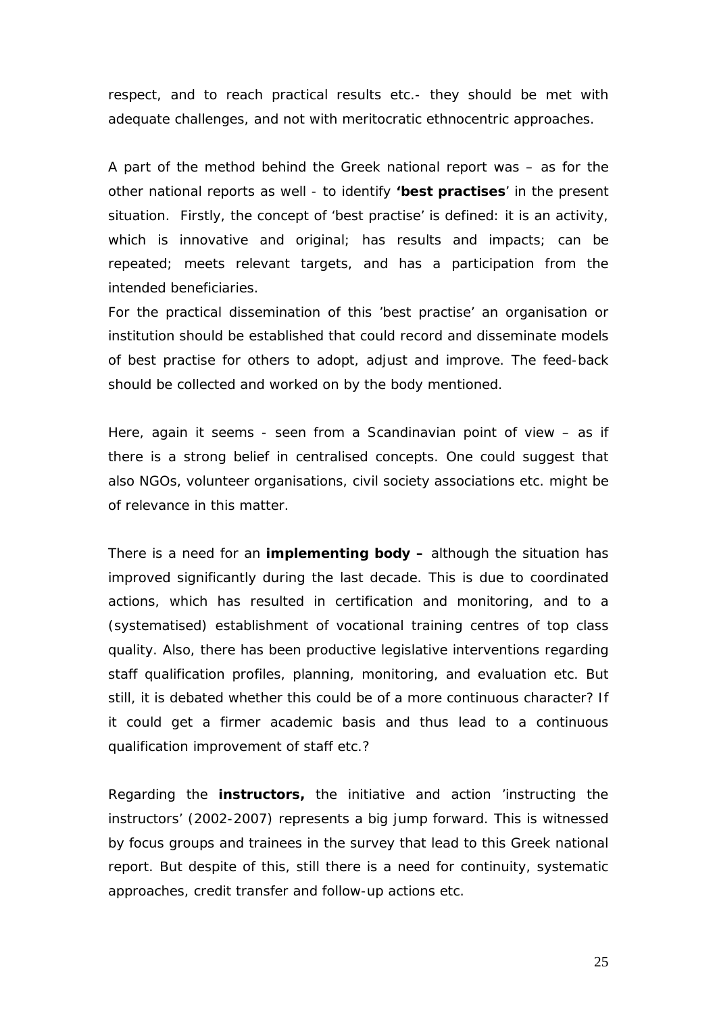respect, and to reach practical results etc.- they should be met with adequate challenges, and not with meritocratic ethnocentric approaches.

A part of the method behind the Greek national report was – as for the other national reports as well - to identify **'best practises**' in the present situation. Firstly, the concept of 'best practise' is defined: it is an activity, which is innovative and original; has results and impacts; can be repeated; meets relevant targets, and has a participation from the intended beneficiaries.

For the practical dissemination of this 'best practise' an organisation or institution should be established that could record and disseminate models of best practise for others to adopt, adjust and improve. The feed-back should be collected and worked on by the body mentioned.

Here, again it seems - seen from a Scandinavian point of view – as if there is a strong belief in centralised concepts. One could suggest that also NGOs, volunteer organisations, civil society associations etc. might be of relevance in this matter.

There is a need for an **implementing body –** although the situation has improved significantly during the last decade. This is due to coordinated actions, which has resulted in certification and monitoring, and to a (systematised) establishment of vocational training centres of top class quality. Also, there has been productive legislative interventions regarding staff qualification profiles, planning, monitoring, and evaluation etc. But still, it is debated whether this could be of a more continuous character? If it could get a firmer academic basis and thus lead to a continuous qualification improvement of staff etc.?

Regarding the **instructors,** the initiative and action 'instructing the instructors' (2002-2007) represents a big jump forward. This is witnessed by focus groups and trainees in the survey that lead to this Greek national report. But despite of this, still there is a need for continuity, systematic approaches, credit transfer and follow-up actions etc.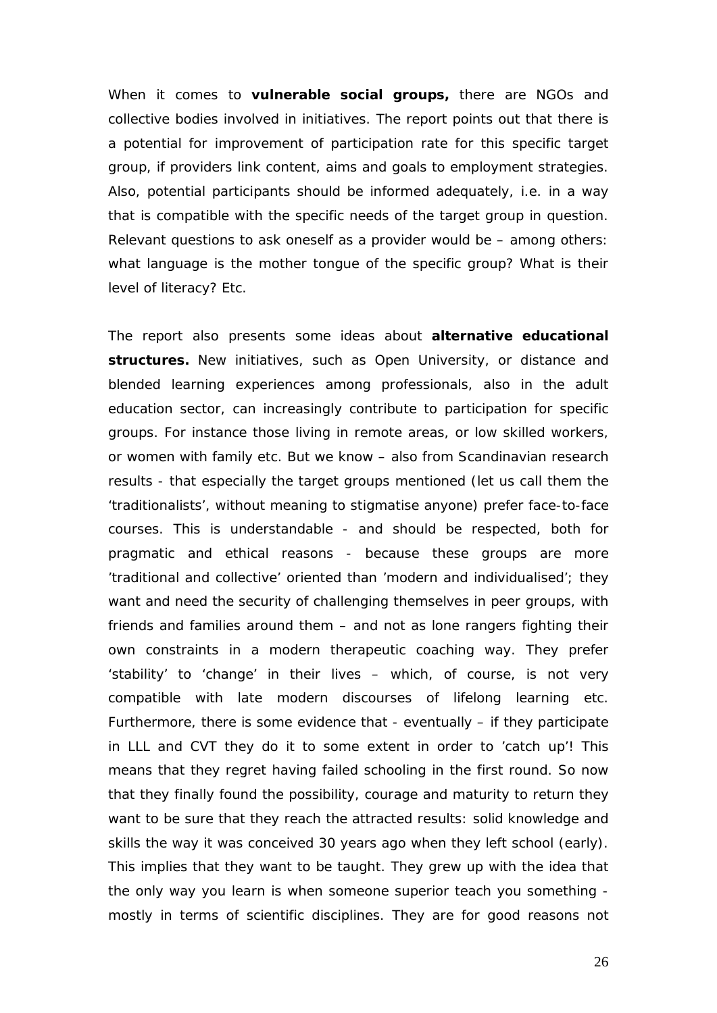When it comes to **vulnerable social groups,** there are NGOs and collective bodies involved in initiatives. The report points out that there is a potential for improvement of participation rate for this specific target group, if providers link content, aims and goals to employment strategies. Also, potential participants should be informed adequately, i.e. in a way that is compatible with the specific needs of the target group in question. Relevant questions to ask oneself as a provider would be – among others: what language is the mother tongue of the specific group? What is their level of literacy? Etc.

The report also presents some ideas about **alternative educational structures.** New initiatives, such as Open University, or distance and blended learning experiences among professionals, also in the adult education sector, can increasingly contribute to participation for specific groups. For instance those living in remote areas, or low skilled workers, or women with family etc. But we know – also from Scandinavian research results - that especially the target groups mentioned (let us call them the 'traditionalists', without meaning to stigmatise anyone) prefer face-to-face courses. This is understandable - and should be respected, both for pragmatic and ethical reasons - because these groups are more 'traditional and collective' oriented than 'modern and individualised'; they want and need the security of challenging themselves in peer groups, with friends and families around them – and not as lone rangers fighting their own constraints in a modern therapeutic coaching way. They prefer 'stability' to 'change' in their lives – which, of course, is not very compatible with late modern discourses of lifelong learning etc. Furthermore, there is some evidence that - eventually – *if* they participate in LLL and CVT they do it to some extent in order to 'catch up'! This means that they regret having failed schooling in the first round. So now that they finally found the possibility, courage and maturity to return they want to be sure that they reach the attracted results: solid knowledge and skills the way it was conceived 30 years ago when they left school (early). This implies that they want to be *taught.* They grew up with the idea that the only way you learn is when someone superior teach you something mostly in terms of scientific disciplines. They are for good reasons not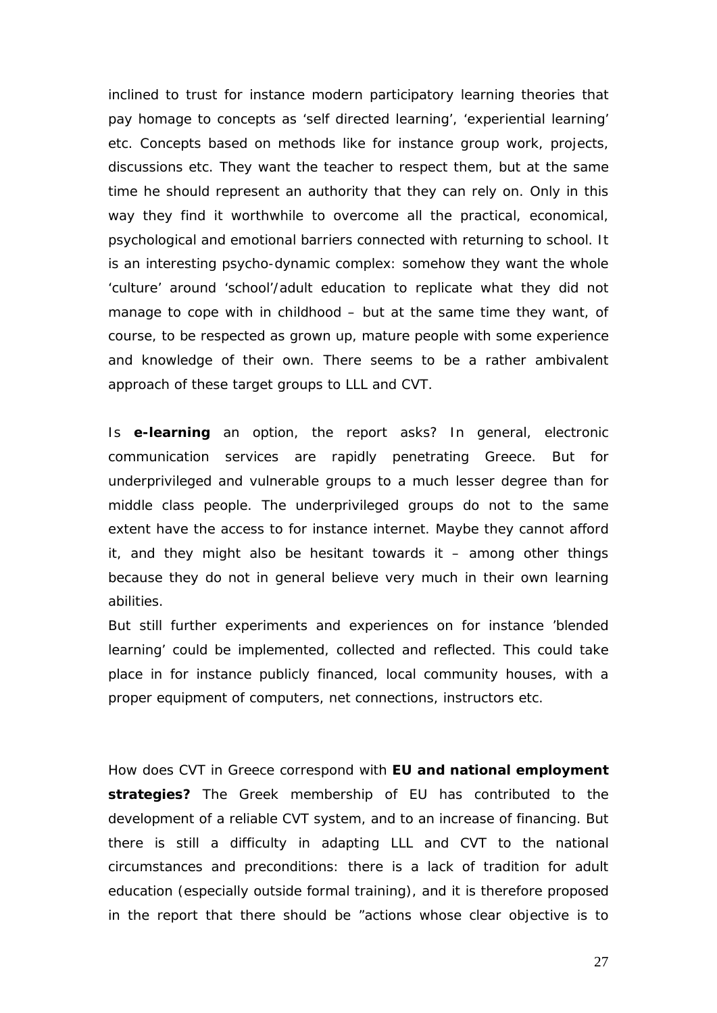inclined to trust for instance modern participatory learning theories that pay homage to concepts as 'self directed learning', 'experiential learning' etc. Concepts based on methods like for instance group work, projects, discussions etc. They want the teacher to respect them, but at the same time he should represent an authority that they can rely on. Only in this way they find it worthwhile to overcome all the practical, economical, psychological and emotional barriers connected with returning to school. It is an interesting psycho-dynamic complex: somehow they want the whole 'culture' around 'school'/adult education to replicate what they did not manage to cope with in childhood – but at the same time they want, of course, to be respected as grown up, mature people with some experience and knowledge of their own. There seems to be a rather ambivalent approach of these target groups to LLL and CVT.

Is **e-learning** an option, the report asks? In general, electronic communication services are rapidly penetrating Greece. But for underprivileged and vulnerable groups to a much lesser degree than for middle class people. The underprivileged groups do not to the same extent have the access to for instance internet. Maybe they cannot afford it, and they might also be hesitant towards it  $-$  among other things because they do not in general believe very much in their own learning abilities.

But still further experiments and experiences on for instance 'blended learning' could be implemented, collected and reflected. This could take place in for instance publicly financed, local community houses, with a proper equipment of computers, net connections, instructors etc.

How does CVT in Greece correspond with **EU and national employment strategies?** The Greek membership of EU has contributed to the development of a reliable CVT system, and to an increase of financing. But there is still a difficulty in adapting LLL and CVT to the national circumstances and preconditions: there is a lack of tradition for adult education (especially outside formal training), and it is therefore proposed in the report that there should be "actions whose clear objective is to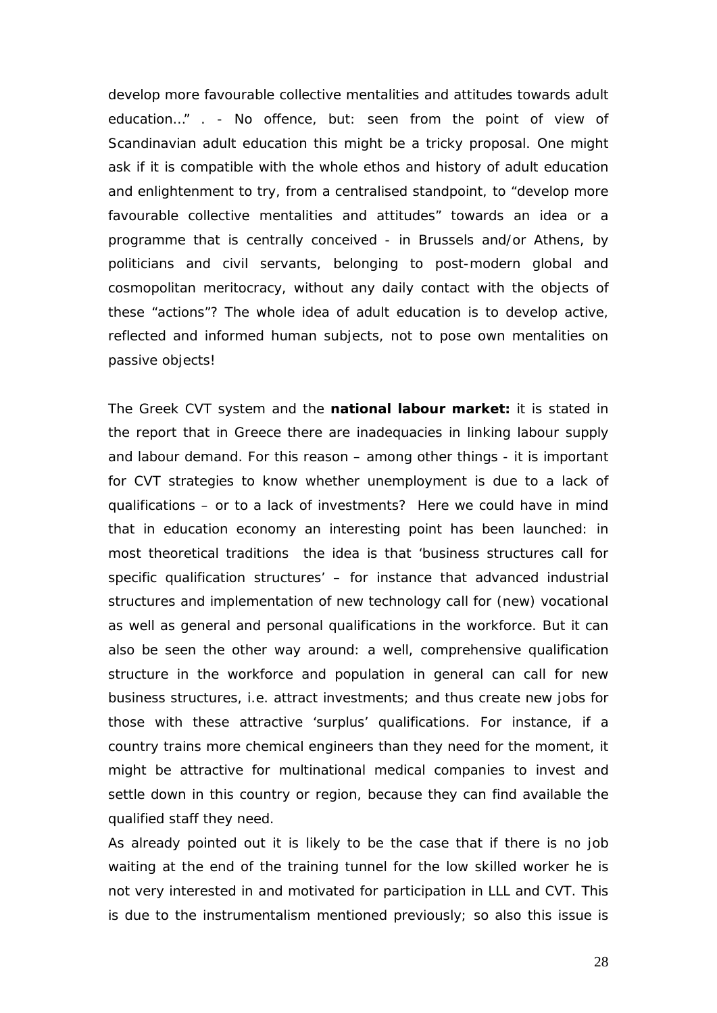develop more favourable collective mentalities and attitudes towards adult education…" . - No offence, but: seen from the point of view of Scandinavian adult education this might be a tricky proposal. One might ask if it is compatible with the whole ethos and history of adult education and enlightenment to try, from a centralised standpoint, to "develop more favourable collective mentalities and attitudes" towards an idea or a programme that is centrally conceived - in Brussels and/or Athens, by politicians and civil servants, belonging to post-modern global and cosmopolitan meritocracy, without any daily contact with the objects of these "actions"? The whole idea of adult education is to develop active, reflected and informed human subjects, not to pose own mentalities on passive objects!

The Greek CVT system and the **national labour market:** it is stated in the report that in Greece there are inadequacies in linking labour supply and labour demand. For this reason – among other things - it is important for CVT strategies to know whether unemployment is due to a lack of qualifications – or to a lack of investments? Here we could have in mind that in education economy an interesting point has been launched: in most theoretical traditions the idea is that 'business structures call for specific qualification structures' – for instance that advanced industrial structures and implementation of new technology call for (new) vocational as well as general and personal qualifications in the workforce. But it can also be seen the other way around: a well, comprehensive qualification structure in the workforce and population in general can call for new business structures, i.e. attract investments; and thus create new jobs for those with these attractive 'surplus' qualifications. For instance, if a country trains more chemical engineers than they need for the moment, it might be attractive for multinational medical companies to invest and settle down in this country or region, because they can find available the qualified staff they need.

As already pointed out it is likely to be the case that if there is no job waiting at the end of the training tunnel for the low skilled worker he is not very interested in and motivated for participation in LLL and CVT. This is due to the *instrumentalism* mentioned previously; so also this issue is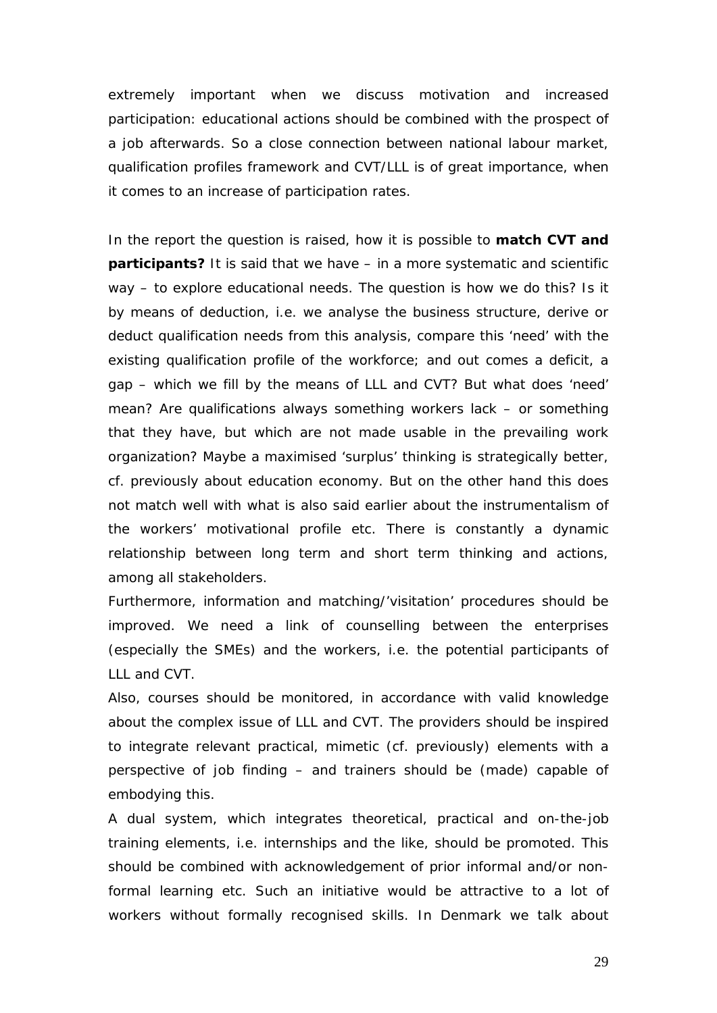extremely important when we discuss motivation and increased participation: educational actions should be combined with the prospect of a job afterwards. So a close connection between national labour market, qualification profiles framework and CVT/LLL is of great importance, when it comes to an increase of participation rates.

In the report the question is raised, how it is possible to **match CVT and participants?** It is said that we have – in a more systematic and scientific way – to explore educational needs. The question is how we do this? Is it by means of deduction, i.e. we analyse the business structure, derive or deduct qualification needs from this analysis, compare this 'need' with the existing qualification profile of the workforce; and out comes a deficit, a gap – which we fill by the means of LLL and CVT? But what does 'need' mean? Are qualifications always something workers lack – or something that they have, but which are not made usable in the prevailing work organization? Maybe a maximised 'surplus' thinking is strategically better, cf. previously about education economy. But on the other hand this does not match well with what is also said earlier about the instrumentalism of the workers' motivational profile etc. There is constantly a dynamic relationship between long term and short term thinking and actions, among all stakeholders.

Furthermore, information and matching/'visitation' procedures should be improved. We need a link of counselling between the enterprises (especially the SMEs) and the workers, i.e. the potential participants of LLL and CVT.

Also, courses should be monitored, in accordance with valid knowledge about the complex issue of LLL and CVT. The providers should be inspired to integrate relevant practical, *mimetic* (cf. previously) elements with a perspective of job finding – and trainers should be (made) capable of embodying this.

A dual system, which integrates theoretical, practical and on-the-job training elements, i.e. internships and the like, should be promoted. This should be combined with acknowledgement of prior informal and/or nonformal learning etc. Such an initiative would be attractive to a lot of workers without formally recognised skills. In Denmark we talk about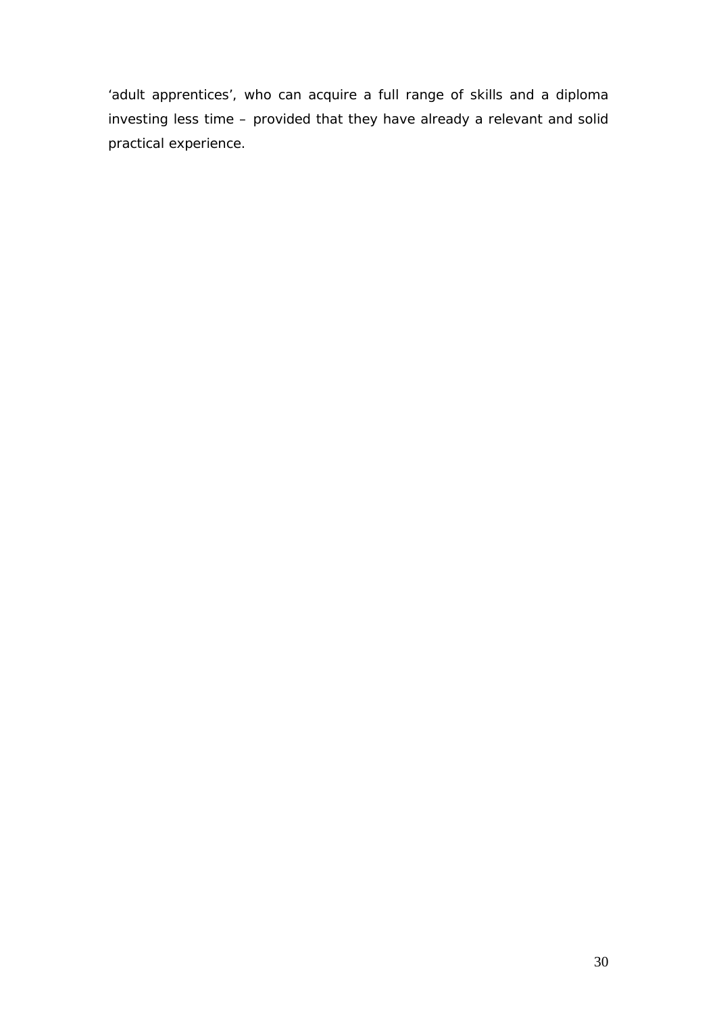'adult apprentices', who can acquire a full range of skills and a diploma investing less time – provided that they have already a relevant and solid practical experience.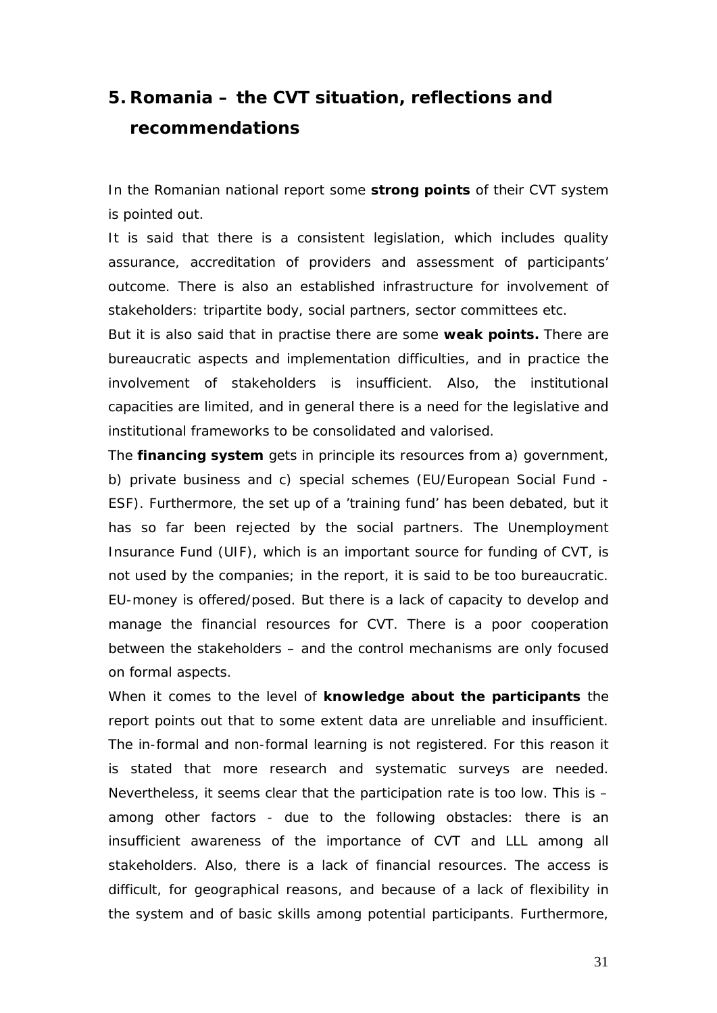# <span id="page-31-0"></span>**5. Romania – the CVT situation, reflections and recommendations**

In the Romanian national report some **strong points** of their CVT system is pointed out.

It is said that there is a consistent legislation, which includes quality assurance, accreditation of providers and assessment of participants' outcome. There is also an established infrastructure for involvement of stakeholders: tripartite body, social partners, sector committees etc.

But it is also said that in practise there are some **weak points.** There are bureaucratic aspects and implementation difficulties, and in practice the involvement of stakeholders is insufficient. Also, the institutional capacities are limited, and in general there is a need for the legislative and institutional frameworks to be consolidated and valorised.

The **financing system** gets in principle its resources from a) government, b) private business and c) special schemes (EU/European Social Fund - ESF). Furthermore, the set up of a 'training fund' has been debated, but it has so far been rejected by the social partners. The Unemployment Insurance Fund (UIF), which is an important source for funding of CVT, is not used by the companies; in the report, it is said to be too bureaucratic. EU-money is offered/posed. But there is a lack of capacity to develop and manage the financial resources for CVT. There is a poor cooperation between the stakeholders – and the control mechanisms are only focused on formal aspects.

When it comes to the level of **knowledge about the participants** the report points out that to some extent data are unreliable and insufficient. The in-formal and non-formal learning is not registered. For this reason it is stated that more research and systematic surveys are needed. Nevertheless, it seems clear that the participation rate is too low. This is – among other factors - due to the following obstacles: there is an insufficient awareness of the importance of CVT and LLL among all stakeholders. Also, there is a lack of financial resources. The access is difficult, for geographical reasons, and because of a lack of flexibility in the system and of basic skills among potential participants. Furthermore,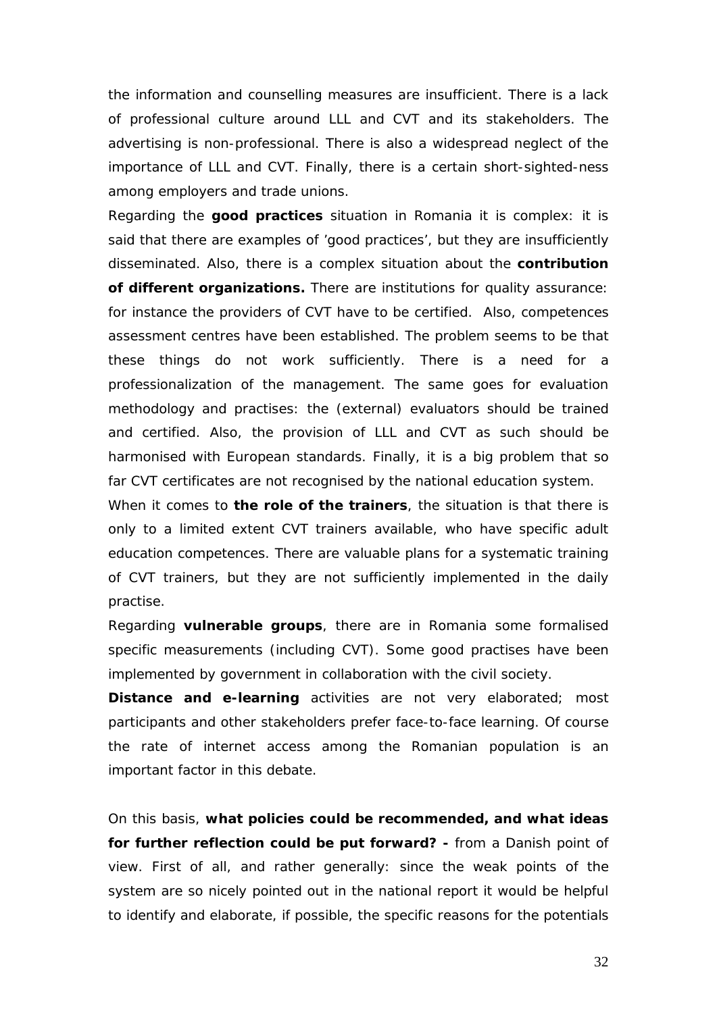the information and counselling measures are insufficient. There is a lack of professional culture around LLL and CVT and its stakeholders. The advertising is non-professional. There is also a widespread neglect of the importance of LLL and CVT. Finally, there is a certain short-sighted-ness among employers and trade unions.

Regarding the **good practices** situation in Romania it is complex: it is said that there are examples of 'good practices', but they are insufficiently disseminated. Also, there is a complex situation about the **contribution of different organizations.** There *are* institutions for quality assurance: for instance the providers of CVT have to be certified. Also, competences assessment centres have been established. The problem seems to be that these things do not work sufficiently. There is a need for a professionalization of the management. The same goes for evaluation methodology and practises: the (external) evaluators should be trained and certified. Also, the provision of LLL and CVT as such should be harmonised with European standards. Finally, it is a big problem that so far CVT certificates are not recognised by the national education system.

When it comes to **the role of the trainers**, the situation is that there is only to a limited extent CVT trainers available, who have specific adult education competences. There *are* valuable plans for a systematic training of CVT trainers, but they are not sufficiently implemented in the daily practise.

Regarding **vulnerable groups**, there are in Romania some formalised specific measurements (including CVT). Some good practises have been implemented by government in collaboration with the civil society.

**Distance and e-learning** activities are not very elaborated; most participants and other stakeholders prefer face-to-face learning. Of course the rate of internet access among the Romanian population is an important factor in this debate.

On this basis, **what policies could be recommended, and what ideas for further reflection could be put forward? -** from a Danish point of view. First of all, and rather generally: since the weak points of the system are so nicely pointed out in the national report it would be helpful to identify and elaborate, if possible, the specific reasons for the potentials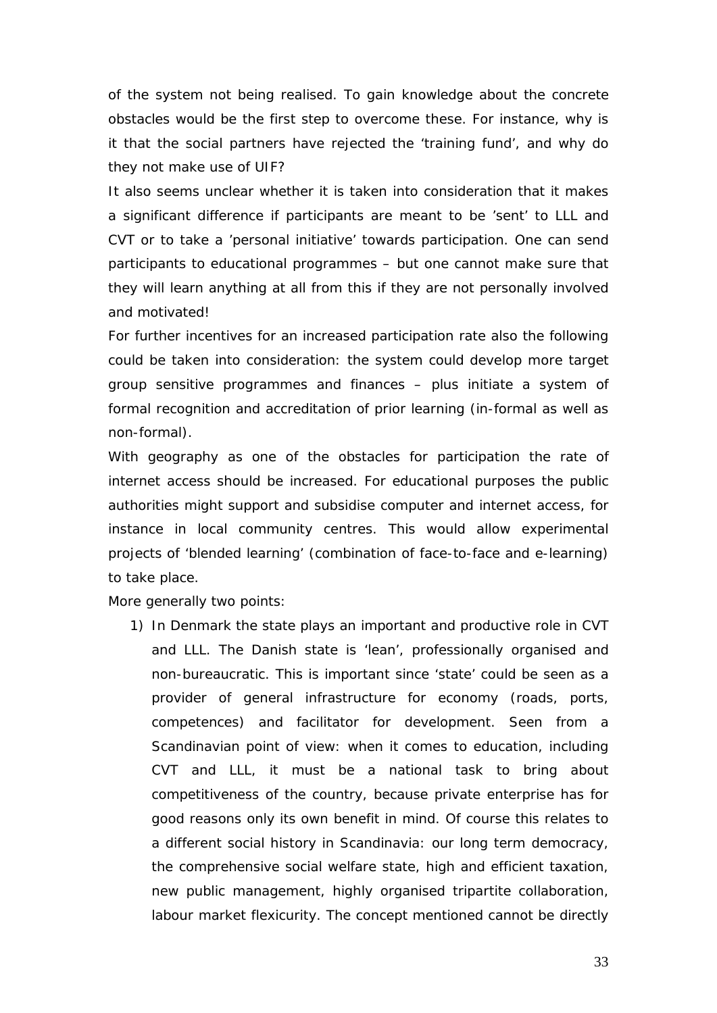of the system not being realised. To gain knowledge about the concrete obstacles would be the first step to overcome these. For instance, why is it that the social partners have rejected the 'training fund', and why do they not make use of UIF?

It also seems unclear whether it is taken into consideration that it makes a significant difference if participants are meant to be 'sent' to LLL and CVT or to take a 'personal initiative' towards participation. One can send participants to educational programmes – but one cannot make sure that they will learn anything at all from this if they are not personally involved and motivated!

For further incentives for an increased participation rate also the following could be taken into consideration: the system could develop more target group sensitive programmes and finances – plus initiate a system of formal recognition and accreditation of prior learning (in-formal as well as non-formal).

With geography as one of the obstacles for participation the rate of internet access should be increased. For educational purposes the public authorities might support and subsidise computer and internet access, for instance in local community centres. This would allow experimental projects of 'blended learning' (combination of face-to-face and e-learning) to take place.

More generally two points:

1) In Denmark the state plays an important and productive role in CVT and LLL. The Danish state is 'lean', professionally organised and non-bureaucratic. This is important since 'state' could be seen as a provider of general infrastructure for economy (roads, ports, competences) and facilitator for development. Seen from a Scandinavian point of view: when it comes to education, including CVT and LLL, it must be a national task to bring about competitiveness of the country, because private enterprise has for good reasons only its own benefit in mind. Of course this relates to a different social history in Scandinavia: our long term democracy, the comprehensive social welfare state, high and efficient taxation, new public management, highly organised tripartite collaboration, labour market flexicurity. The concept mentioned cannot be directly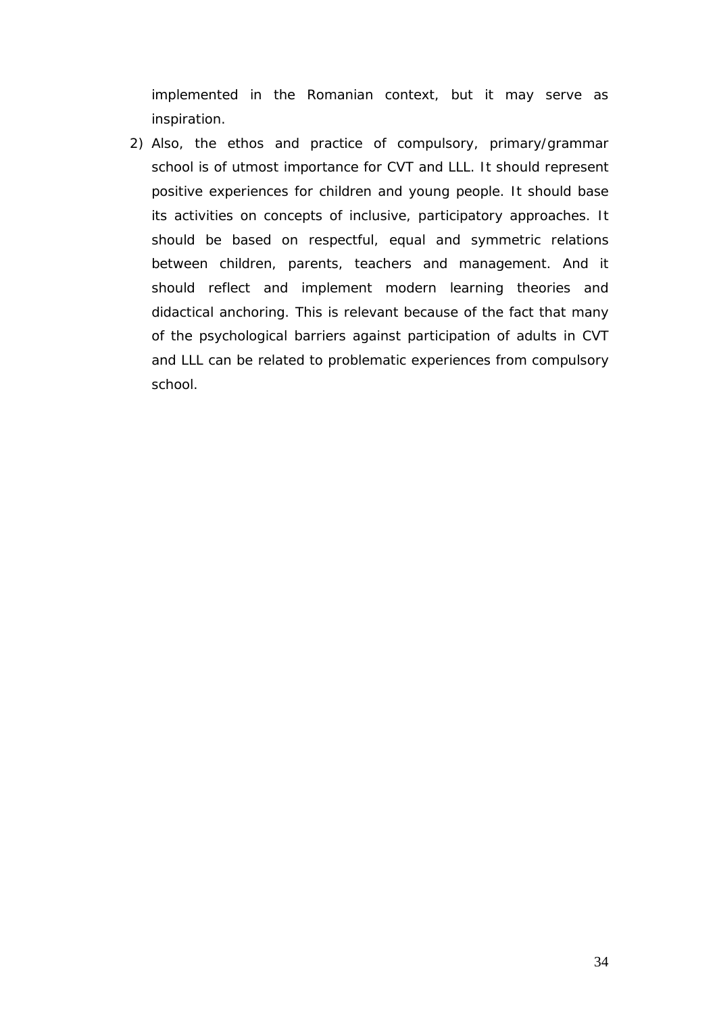implemented in the Romanian context, but it may serve as inspiration.

2) Also, the ethos and practice of compulsory, primary/grammar school is of utmost importance for CVT and LLL. It should represent positive experiences for children and young people. It should base its activities on concepts of inclusive, participatory approaches. It should be based on respectful, equal and symmetric relations between children, parents, teachers and management. And it should reflect and implement modern learning theories and didactical anchoring. This is relevant because of the fact that many of the psychological barriers against participation of adults in CVT and LLL can be related to problematic experiences from compulsory school.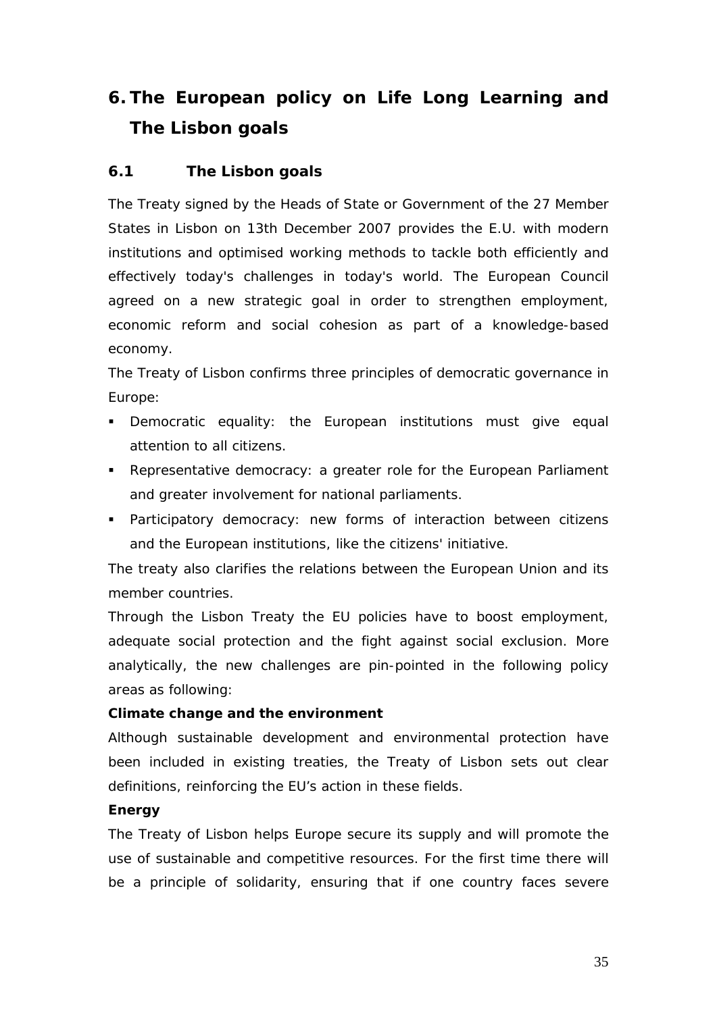# <span id="page-35-0"></span>**6. The European policy on Life Long Learning and The Lisbon goals**

#### <span id="page-35-1"></span>**6.1 The Lisbon goals**

The Treaty signed by the Heads of State or Government of the 27 Member States in Lisbon on 13th December 2007 provides the E.U. with modern institutions and optimised working methods to tackle both efficiently and effectively today's challenges in today's world. The European Council agreed on a new strategic goal in order to strengthen employment, economic reform and social cohesion as part of a knowledge-based economy.

The Treaty of Lisbon confirms three principles of democratic governance in Europe:

- **Democratic equality: the European institutions must give equal** attention to all citizens.
- Representative democracy: a greater role for the European Parliament and greater involvement for national parliaments.
- Participatory democracy: new forms of interaction between citizens and the European institutions, like the citizens' initiative.

The treaty also clarifies the relations between the European Union and its member countries.

Through the Lisbon Treaty the EU policies have to boost employment, adequate social protection and the fight against social exclusion. More analytically, the new challenges are pin-pointed in the following policy areas as following:

#### **Climate change and the environment**

Although sustainable development and environmental protection have been included in existing treaties, the Treaty of Lisbon sets out clear definitions, reinforcing the EU's action in these fields.

#### **Energy**

The Treaty of Lisbon helps Europe secure its supply and will promote the use of sustainable and competitive resources. For the first time there will be a principle of solidarity, ensuring that if one country faces severe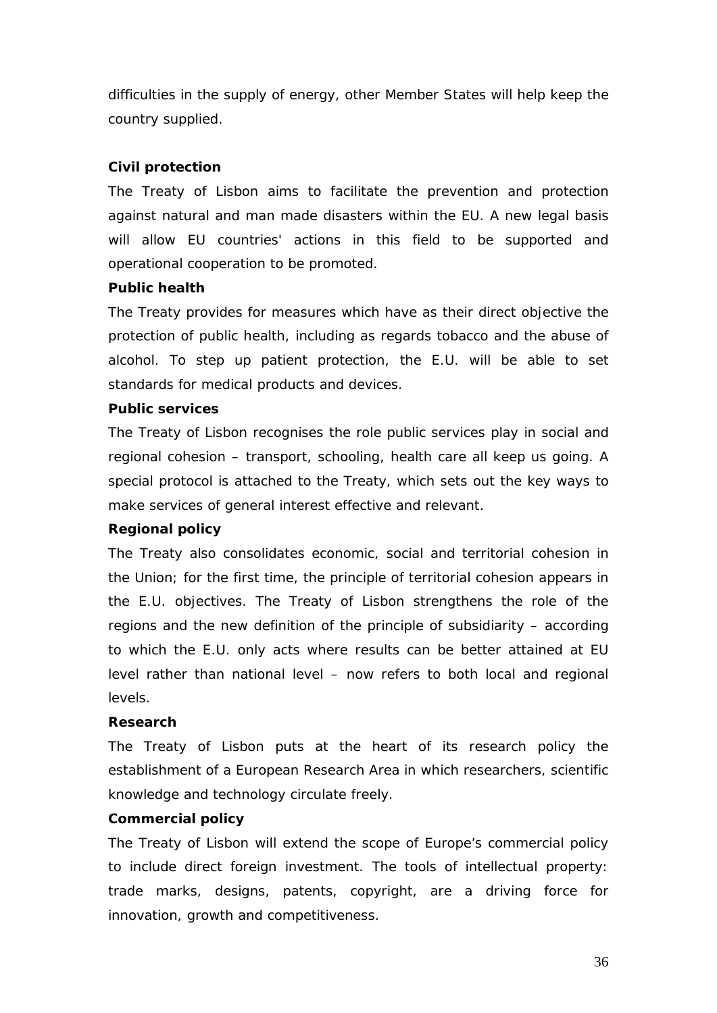difficulties in the supply of energy, other Member States will help keep the country supplied.

#### **Civil protection**

The Treaty of Lisbon aims to facilitate the prevention and protection against natural and man made disasters within the EU. A new legal basis will allow EU countries' actions in this field to be supported and operational cooperation to be promoted.

#### **Public health**

The Treaty provides for measures which have as their direct objective the protection of public health, including as regards tobacco and the abuse of alcohol. To step up patient protection, the E.U. will be able to set standards for medical products and devices.

#### **Public services**

The Treaty of Lisbon recognises the role public services play in social and regional cohesion – transport, schooling, health care all keep us going. A special protocol is attached to the Treaty, which sets out the key ways to make services of general interest effective and relevant.

#### **Regional policy**

The Treaty also consolidates economic, social and territorial cohesion in the Union; for the first time, the principle of territorial cohesion appears in the E.U. objectives. The Treaty of Lisbon strengthens the role of the regions and the new definition of the principle of subsidiarity – according to which the E.U. only acts where results can be better attained at EU level rather than national level – now refers to both local and regional levels.

#### **Research**

The Treaty of Lisbon puts at the heart of its research policy the establishment of a European Research Area in which researchers, scientific knowledge and technology circulate freely.

#### **Commercial policy**

The Treaty of Lisbon will extend the scope of Europe's commercial policy to include direct foreign investment. The tools of intellectual property: trade marks, designs, patents, copyright, are a driving force for innovation, growth and competitiveness.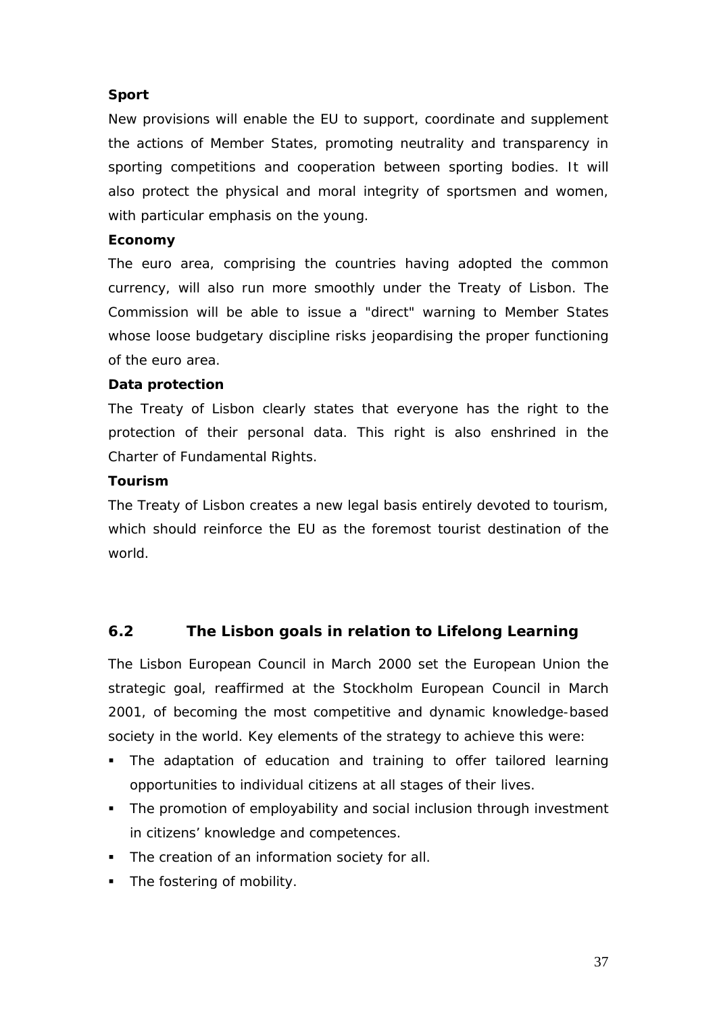#### **Sport**

New provisions will enable the EU to support, coordinate and supplement the actions of Member States, promoting neutrality and transparency in sporting competitions and cooperation between sporting bodies. It will also protect the physical and moral integrity of sportsmen and women, with particular emphasis on the young.

#### **Economy**

The euro area, comprising the countries having adopted the common currency, will also run more smoothly under the Treaty of Lisbon. The Commission will be able to issue a "direct" warning to Member States whose loose budgetary discipline risks jeopardising the proper functioning of the euro area.

#### **Data protection**

The Treaty of Lisbon clearly states that everyone has the right to the protection of their personal data. This right is also enshrined in the Charter of Fundamental Rights.

#### **Tourism**

The Treaty of Lisbon creates a new legal basis entirely devoted to tourism, which should reinforce the EU as the foremost tourist destination of the world.

#### <span id="page-37-0"></span>**6.2 The Lisbon goals in relation to Lifelong Learning**

The Lisbon European Council in March 2000 set the European Union the strategic goal, reaffirmed at the Stockholm European Council in March 2001, of becoming the most competitive and dynamic knowledge-based society in the world. Key elements of the strategy to achieve this were:

- The adaptation of education and training to offer tailored learning opportunities to individual citizens at all stages of their lives.
- The promotion of employability and social inclusion through investment in citizens' knowledge and competences.
- The creation of an information society for all.
- The fostering of mobility.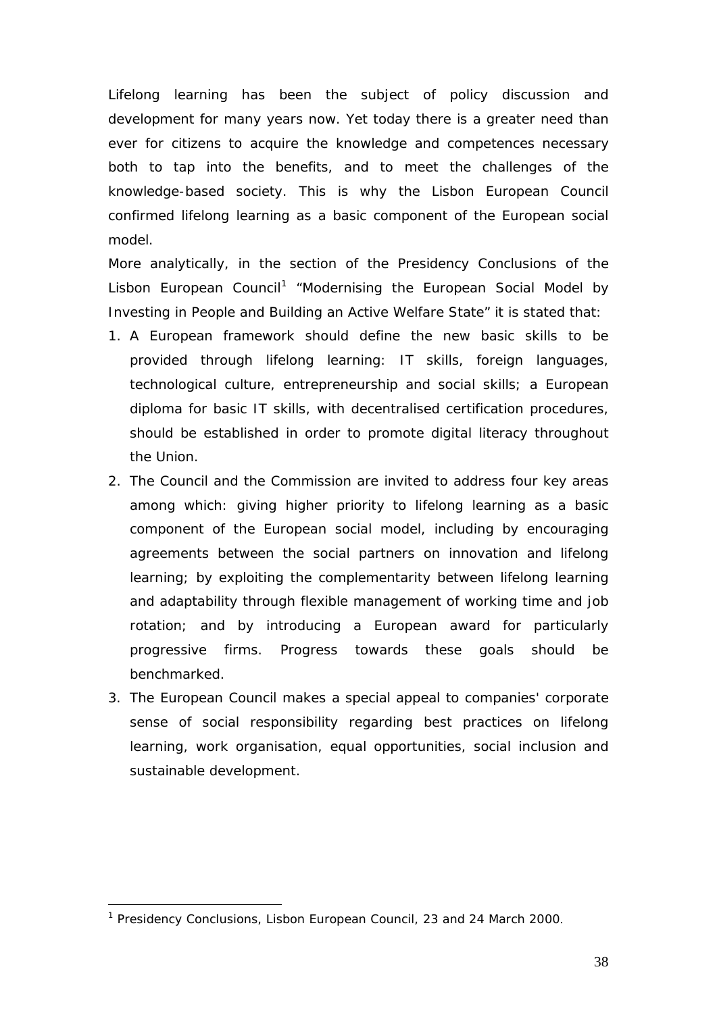Lifelong learning has been the subject of policy discussion and development for many years now. Yet today there is a greater need than ever for citizens to acquire the knowledge and competences necessary both to tap into the benefits, and to meet the challenges of the knowledge-based society. This is why the Lisbon European Council confirmed lifelong learning as a basic component of the European social model.

More analytically, in the section of the Presidency Conclusions of the Lisbon European Council<sup>[1](#page-38-0)</sup> "Modernising the European Social Model by Investing in People and Building an Active Welfare State" it is stated that:

- 1. A European framework should define the new basic skills to be provided through lifelong learning: IT skills, foreign languages, technological culture, entrepreneurship and social skills; a European diploma for basic IT skills, with decentralised certification procedures, should be established in order to promote digital literacy throughout the Union.
- 2. The Council and the Commission are invited to address four key areas among which: giving higher priority to lifelong learning as a basic component of the European social model, including by encouraging agreements between the social partners on innovation and lifelong learning; by exploiting the complementarity between lifelong learning and adaptability through flexible management of working time and job rotation; and by introducing a European award for particularly progressive firms. Progress towards these goals should be benchmarked.
- 3. The European Council makes a special appeal to companies' corporate sense of social responsibility regarding best practices on lifelong learning, work organisation, equal opportunities, social inclusion and sustainable development.

<span id="page-38-0"></span><sup>&</sup>lt;sup>1</sup> Presidency Conclusions, Lisbon European Council, 23 and 24 March 2000.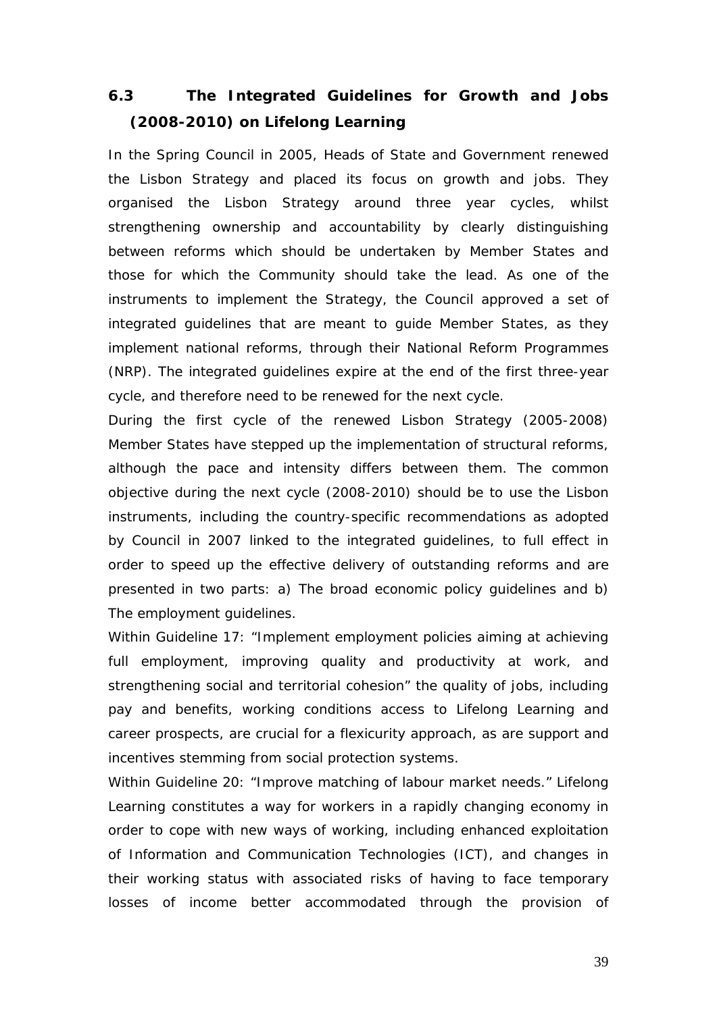### <span id="page-39-0"></span>**6.3 The Integrated Guidelines for Growth and Jobs (2008-2010) on Lifelong Learning**

In the Spring Council in 2005, Heads of State and Government renewed the Lisbon Strategy and placed its focus on growth and jobs. They organised the Lisbon Strategy around three year cycles, whilst strengthening ownership and accountability by clearly distinguishing between reforms which should be undertaken by Member States and those for which the Community should take the lead. As one of the instruments to implement the Strategy, the Council approved a set of integrated guidelines that are meant to guide Member States, as they implement national reforms, through their National Reform Programmes (NRP). The integrated guidelines expire at the end of the first three-year cycle, and therefore need to be renewed for the next cycle.

During the first cycle of the renewed Lisbon Strategy (2005-2008) Member States have stepped up the implementation of structural reforms, although the pace and intensity differs between them. The common objective during the next cycle (2008-2010) should be to use the Lisbon instruments, including the country-specific recommendations as adopted by Council in 2007 linked to the integrated guidelines, to full effect in order to speed up the effective delivery of outstanding reforms and are presented in two parts: a) The broad economic policy guidelines and b) The employment guidelines.

Within Guideline 17: "Implement employment policies aiming at achieving full employment, improving quality and productivity at work, and strengthening social and territorial cohesion" the quality of jobs, including pay and benefits, working conditions access to Lifelong Learning and career prospects, are crucial for a flexicurity approach, as are support and incentives stemming from social protection systems.

Within Guideline 20: "Improve matching of labour market needs." Lifelong Learning constitutes a way for workers in a rapidly changing economy in order to cope with new ways of working, including enhanced exploitation of Information and Communication Technologies (ICT), and changes in their working status with associated risks of having to face temporary losses of income better accommodated through the provision of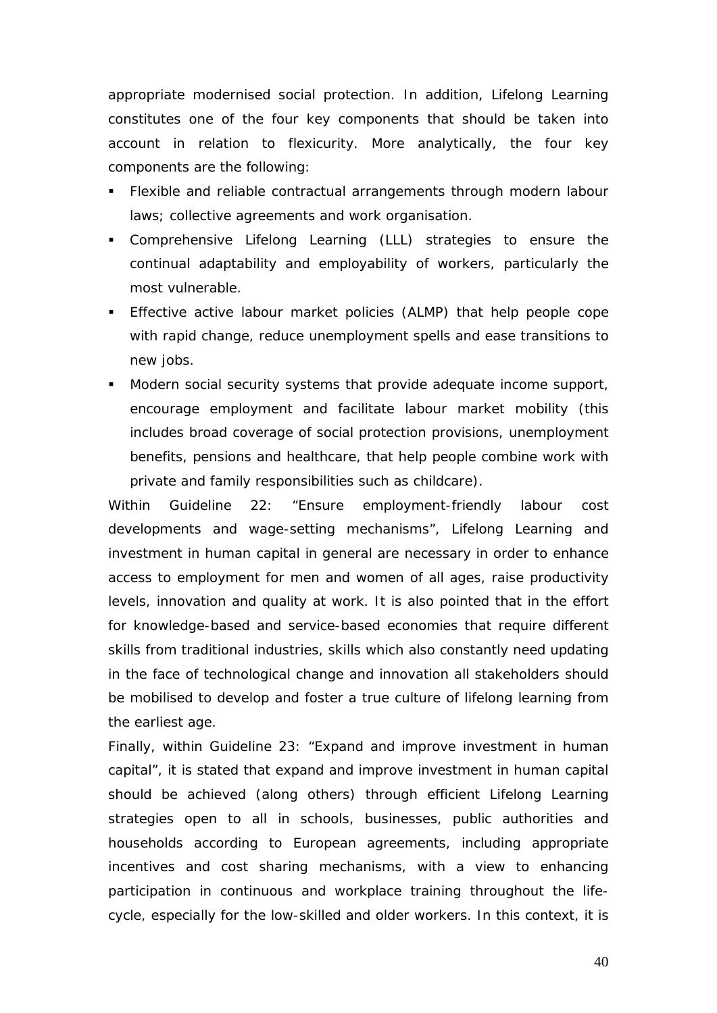appropriate modernised social protection. In addition, Lifelong Learning constitutes one of the four key components that should be taken into account in relation to flexicurity. More analytically, the four key components are the following:

- **Flexible and reliable contractual arrangements through modern labour** laws; collective agreements and work organisation.
- Comprehensive Lifelong Learning (LLL) strategies to ensure the continual adaptability and employability of workers, particularly the most vulnerable.
- **Effective active labour market policies (ALMP) that help people cope** with rapid change, reduce unemployment spells and ease transitions to new jobs.
- Modern social security systems that provide adequate income support, encourage employment and facilitate labour market mobility (this includes broad coverage of social protection provisions, unemployment benefits, pensions and healthcare, that help people combine work with private and family responsibilities such as childcare).

Within Guideline 22: "Ensure employment-friendly labour cost developments and wage-setting mechanisms", Lifelong Learning and investment in human capital in general are necessary in order to enhance access to employment for men and women of all ages, raise productivity levels, innovation and quality at work. It is also pointed that in the effort for knowledge-based and service-based economies that require different skills from traditional industries, skills which also constantly need updating in the face of technological change and innovation all stakeholders should be mobilised to develop and foster a true culture of lifelong learning from the earliest age.

Finally, within Guideline 23: "Expand and improve investment in human capital", it is stated that expand and improve investment in human capital should be achieved (along others) through efficient Lifelong Learning strategies open to all in schools, businesses, public authorities and households according to European agreements, including appropriate incentives and cost sharing mechanisms, with a view to enhancing participation in continuous and workplace training throughout the lifecycle, especially for the low-skilled and older workers. In this context, it is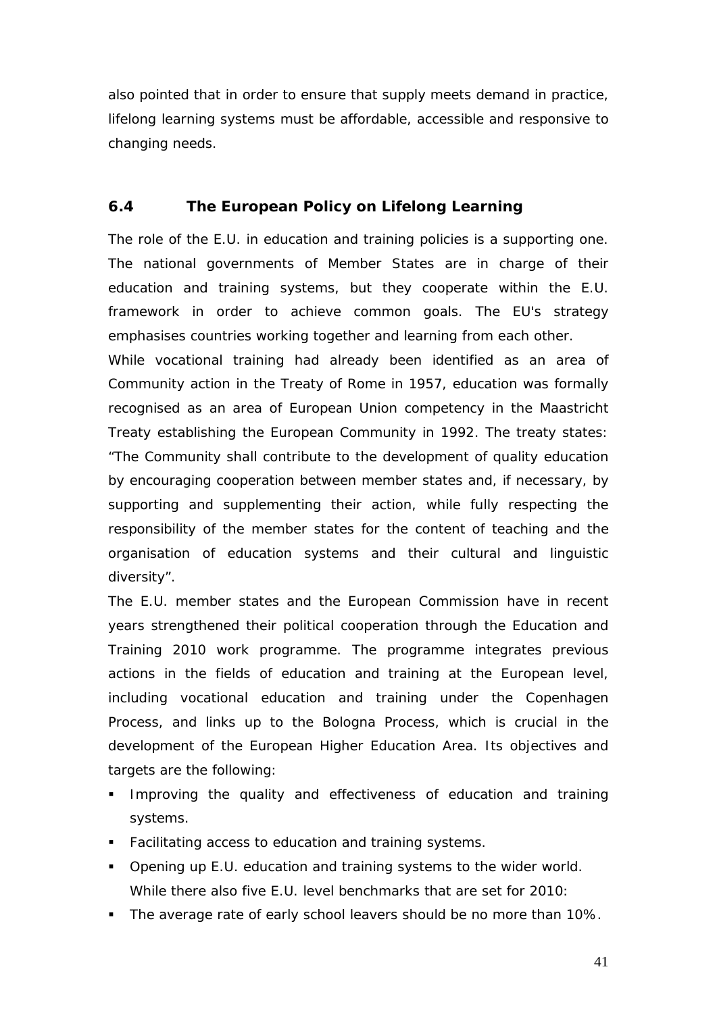also pointed that in order to ensure that supply meets demand in practice, lifelong learning systems must be affordable, accessible and responsive to changing needs.

#### <span id="page-41-0"></span>**6.4 The European Policy on Lifelong Learning**

The role of the E.U. in education and training policies is a supporting one. The national governments of Member States are in charge of their education and training systems, but they cooperate within the E.U. framework in order to achieve common goals. The EU's strategy emphasises countries working together and learning from each other.

While vocational training had already been identified as an area of Community action in the Treaty of Rome in 1957, education was formally recognised as an area of European Union competency in the Maastricht Treaty establishing the European Community in 1992. The treaty states: "The Community shall contribute to the development of quality education by encouraging cooperation between member states and, if necessary, by supporting and supplementing their action, while fully respecting the responsibility of the member states for the content of teaching and the organisation of education systems and their cultural and linguistic diversity".

The E.U. member states and the European Commission have in recent years strengthened their political cooperation through the Education and Training 2010 work programme. The programme integrates previous actions in the fields of education and training at the European level, including vocational education and training under the Copenhagen Process, and links up to the Bologna Process, which is crucial in the development of the European Higher Education Area. Its objectives and targets are the following:

- **IMPROVING THE QUALITY and effectiveness of education and training** systems.
- Facilitating access to education and training systems.
- Opening up E.U. education and training systems to the wider world. While there also five E.U. level benchmarks that are set for 2010:
- The average rate of early school leavers should be no more than 10%.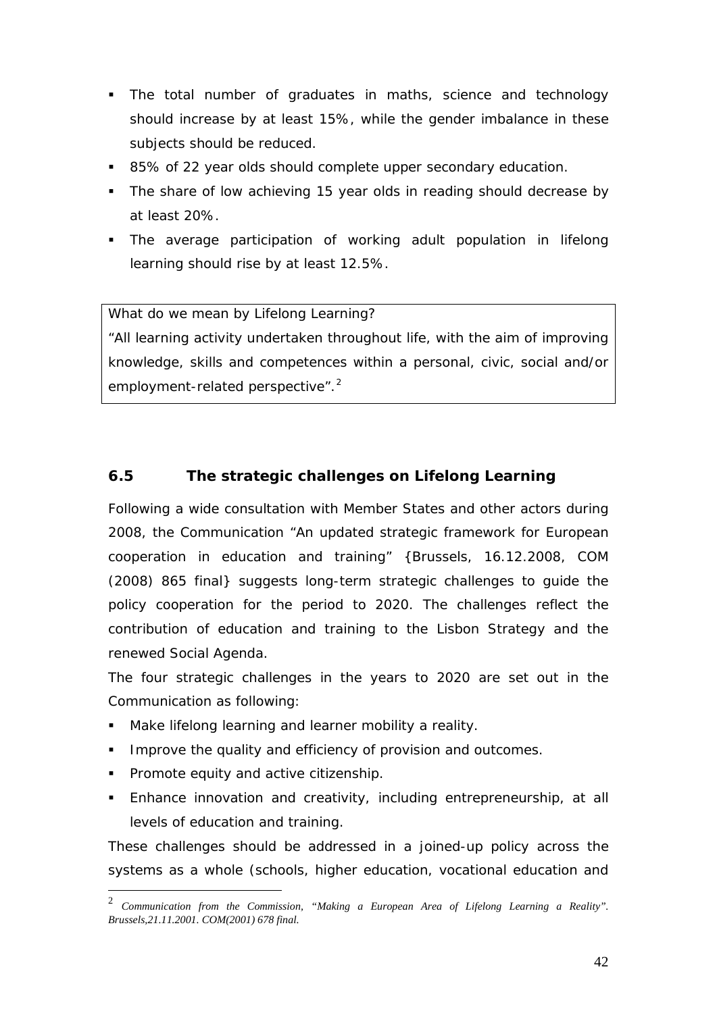- The total number of graduates in maths, science and technology should increase by at least 15%, while the gender imbalance in these subjects should be reduced.
- 85% of 22 year olds should complete upper secondary education.
- The share of low achieving 15 year olds in reading should decrease by at least 20%.
- The average participation of working adult population in lifelong learning should rise by at least 12.5%.

What do we mean by Lifelong Learning?

"All learning activity undertaken throughout life, with the aim of improving knowledge, skills and competences within a personal, civic, social and/or employment-related perspective".<sup>[2](#page-42-1)</sup>

#### <span id="page-42-0"></span>**6.5 The strategic challenges on Lifelong Learning**

Following a wide consultation with Member States and other actors during 2008, the Communication "An updated strategic framework for European cooperation in education and training" {Brussels, 16.12.2008, COM (2008) 865 final} suggests long-term strategic challenges to guide the policy cooperation for the period to 2020. The challenges reflect the contribution of education and training to the Lisbon Strategy and the renewed Social Agenda.

The four strategic challenges in the years to 2020 are set out in the Communication as following:

- Make lifelong learning and learner mobility a reality.
- **IMPROVE the quality and efficiency of provision and outcomes.**
- **Promote equity and active citizenship.**
- Enhance innovation and creativity, including entrepreneurship, at all levels of education and training.

These challenges should be addressed in a joined-up policy across the systems as a whole (schools, higher education, vocational education and

<span id="page-42-1"></span> <sup>2</sup> *Communication from the Commission, "Making a European Area of Lifelong Learning a Reality". Brussels,21.11.2001. COM(2001) 678 final.*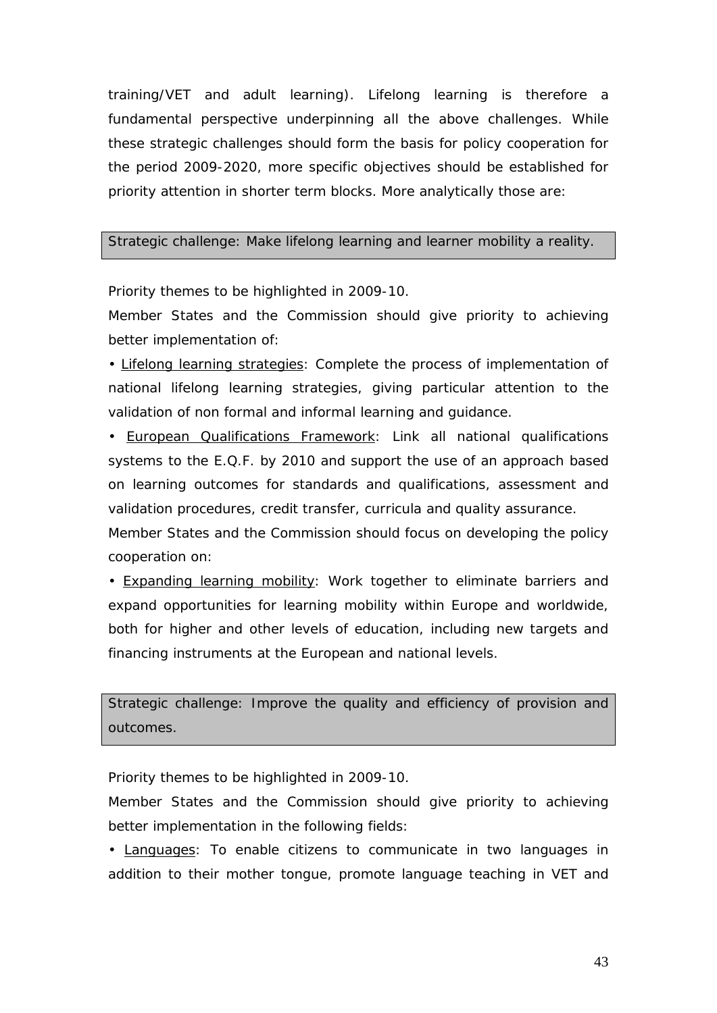training/VET and adult learning). Lifelong learning is therefore a fundamental perspective underpinning all the above challenges. While these strategic challenges should form the basis for policy cooperation for the period 2009-2020, more specific objectives should be established for priority attention in shorter term blocks. More analytically those are:

#### Strategic challenge: Make lifelong learning and learner mobility a reality.

Priority themes to be highlighted in 2009-10.

Member States and the Commission should give priority to achieving better implementation of:

• Lifelong learning strategies: Complete the process of implementation of national lifelong learning strategies, giving particular attention to the validation of non formal and informal learning and guidance.

• European Qualifications Framework: Link all national qualifications systems to the E.Q.F. by 2010 and support the use of an approach based on learning outcomes for standards and qualifications, assessment and validation procedures, credit transfer, curricula and quality assurance.

Member States and the Commission should focus on developing the policy cooperation on:

• Expanding learning mobility: Work together to eliminate barriers and expand opportunities for learning mobility within Europe and worldwide, both for higher and other levels of education, including new targets and financing instruments at the European and national levels.

Strategic challenge: Improve the quality and efficiency of provision and outcomes.

Priority themes to be highlighted in 2009-10.

Member States and the Commission should give priority to achieving better implementation in the following fields:

• Languages: To enable citizens to communicate in two languages in addition to their mother tongue, promote language teaching in VET and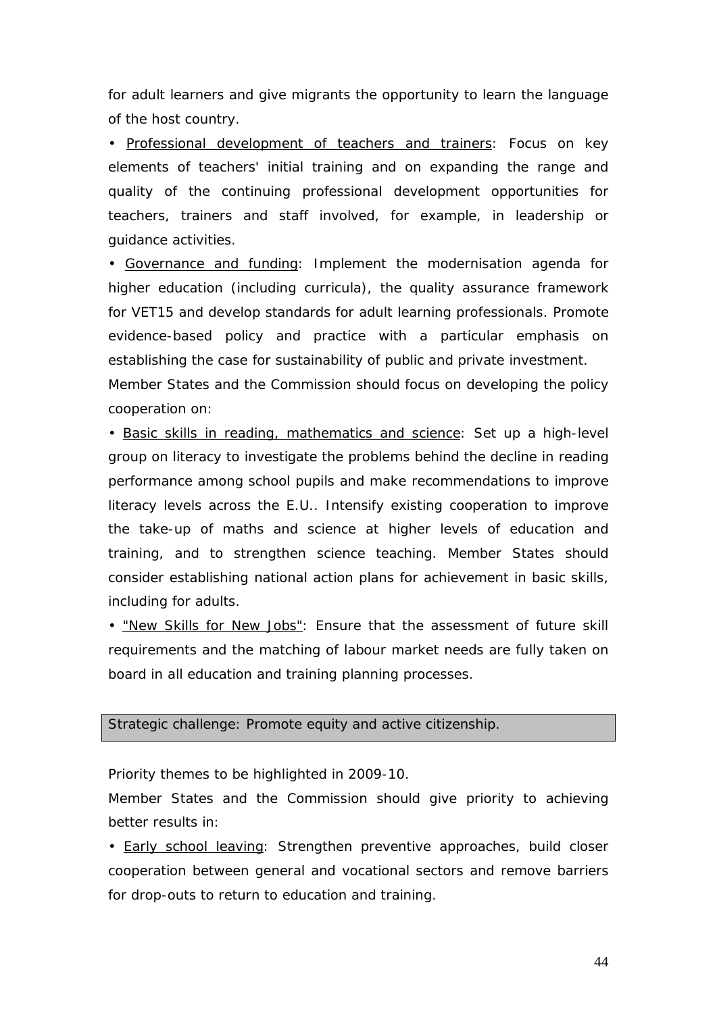for adult learners and give migrants the opportunity to learn the language of the host country.

• Professional development of teachers and trainers: Focus on key elements of teachers' initial training and on expanding the range and quality of the continuing professional development opportunities for teachers, trainers and staff involved, for example, in leadership or guidance activities.

• Governance and funding : Implement the modernisation agenda for Member States and the Commission should focus on developing the policy cooperation on: higher education (including curricula), the quality assurance framework for VET15 and develop standards for adult learning professionals. Promote evidence-based policy and practice with a particular emphasis on establishing the case for sustainability of public and private investment.

• Basic skills in reading, mathematics and science: Set up a high-level group on literacy to investigate the problems behind the decline in reading performance among school pupils and make recommendations to improve literacy levels across the E.U.. Intensify existing cooperation to improve the take-up of maths and science at higher levels of education and training, and to strengthen science teaching. Member States should consider establishing national action plans for achievement in basic skills, including for adults.

• "New Skills for New Jobs": Ensure that the assessment of future skill requirements and the matching of labour market needs are fully taken on board in all education and training planning processes.

#### Strategic challenge: Promote equity and active citizenship.

Priority themes to be highlighted in 2009-10.

Member States and the Commission should give priority to achieving better results in:

• Early school leaving: Strengthen preventive approaches, build closer cooperation between general and vocational sectors and remove barriers for drop-outs to return to education and training.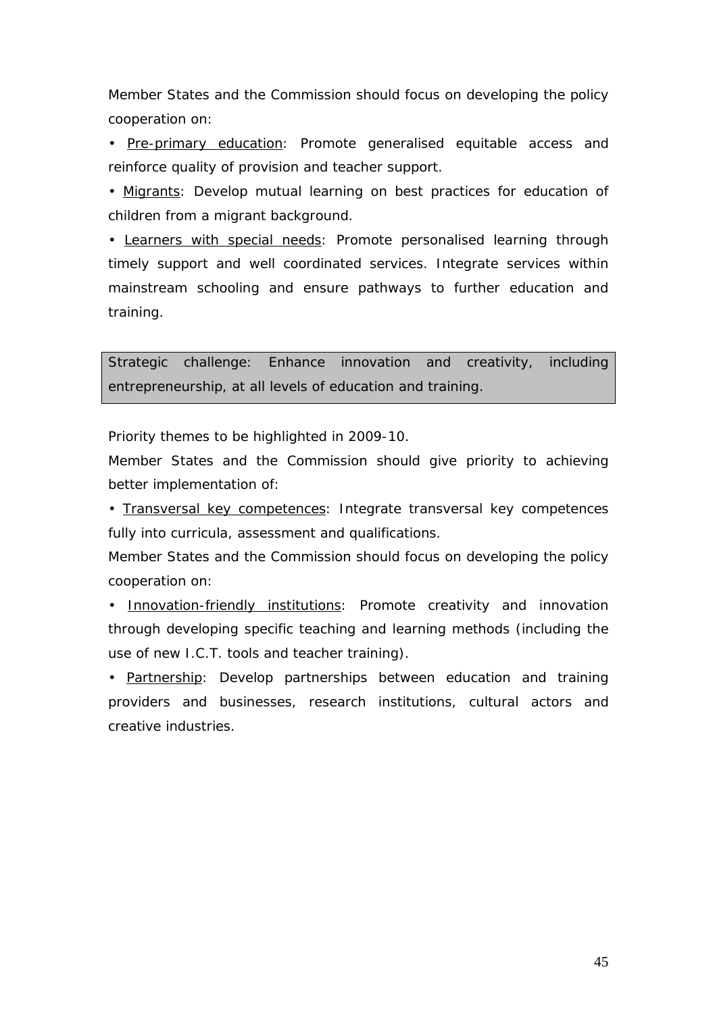Member States and the Commission should focus on developing the policy cooperation on:

• Pre-primary education: Promote generalised equitable access and reinforce quality of provision and teacher support.

• Migrants: Develop mutual learning on best practices for education of children from a migrant background.

• Learners with special needs: Promote personalised learning through timely support and well coordinated services. Integrate services within mainstream schooling and ensure pathways to further education and training.

Strategic challenge: Enhance innovation and creativity, including entrepreneurship, at all levels of education and training.

Priority themes to be highlighted in 2009-10.

Member States and the Commission should give priority to achieving better implementation of:

• Transversal key competences: Integrate transversal key competences fully into curricula, assessment and qualifications.

Member States and the Commission should focus on developing the policy cooperation on:

• Innovation-friendly institutions: Promote creativity and innovation through developing specific teaching and learning methods (including the use of new I.C.T. tools and teacher training).

• Partnership: Develop partnerships between education and training providers and businesses, research institutions, cultural actors and creative industries.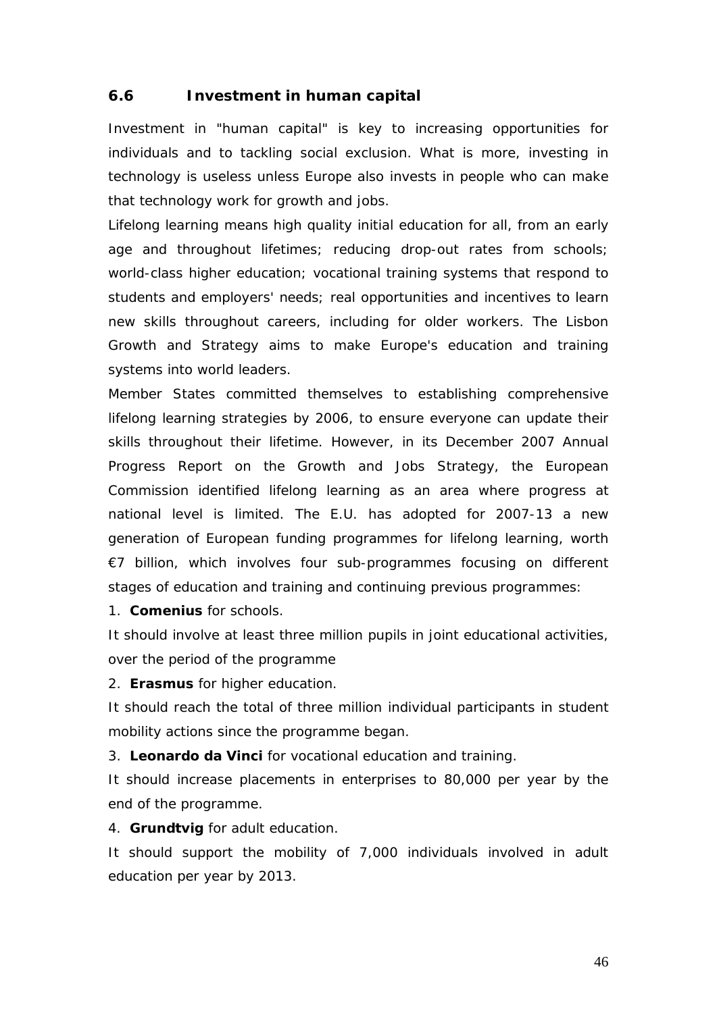#### <span id="page-46-0"></span>**6.6 Investment in human capital**

Investment in "human capital" is key to increasing opportunities for individuals and to tackling social exclusion. What is more, investing in technology is useless unless Europe also invests in people who can make that technology work for growth and jobs.

Lifelong learning means high quality initial education for all, from an early age and throughout lifetimes; reducing drop-out rates from schools; world-class higher education; vocational training systems that respond to students and employers' needs; real opportunities and incentives to learn new skills throughout careers, including for older workers. The Lisbon Growth and Strategy aims to make Europe's education and training systems into world leaders.

Member States committed themselves to establishing comprehensive lifelong learning strategies by 2006, to ensure everyone can update their skills throughout their lifetime. However, in its December 2007 Annual Progress Report on the Growth and Jobs Strategy, the European Commission identified lifelong learning as an area where progress at national level is limited. The E.U. has adopted for 2007-13 a new generation of European funding programmes for lifelong learning, worth €7 billion, which involves four sub-programmes focusing on different stages of education and training and continuing previous programmes:

1. **Comenius** for schools.

It should involve at least three million pupils in joint educational activities, over the period of the programme

2. **Erasmus** for higher education.

It should reach the total of three million individual participants in student mobility actions since the programme began.

3. **Leonardo da Vinci** for vocational education and training.

It should increase placements in enterprises to 80,000 per year by the end of the programme.

4. **Grundtvig** for adult education.

It should support the mobility of 7,000 individuals involved in adult education per year by 2013.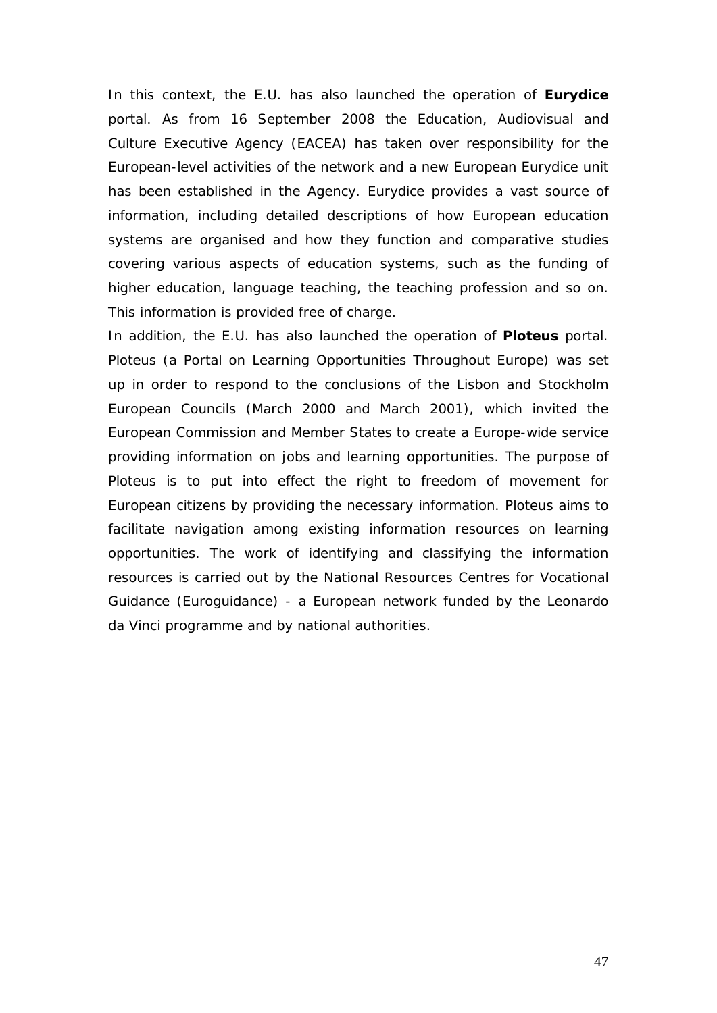In this context, the E.U. has also launched the operation of **Eurydice** portal. As from 16 September 2008 the Education, Audiovisual and Culture Executive Agency (EACEA) has taken over responsibility for the European-level activities of the network and a new European Eurydice unit has been established in the Agency. Eurydice provides a vast source of information, including detailed descriptions of how European education systems are organised and how they function and comparative studies covering various aspects of education systems, such as the funding of higher education, language teaching, the teaching profession and so on. This information is provided free of charge.

In addition, the E.U. has also launched the operation of **Ploteus** portal. Ploteus (a Portal on Learning Opportunities Throughout Europe) was set up in order to respond to the conclusions of the Lisbon and Stockholm European Councils (March 2000 and March 2001), which invited the European Commission and Member States to create a Europe-wide service providing information on jobs and learning opportunities. The purpose of Ploteus is to put into effect the right to freedom of movement for European citizens by providing the necessary information. Ploteus aims to facilitate navigation among existing information resources on learning opportunities. The work of identifying and classifying the information resources is carried out by the National Resources Centres for Vocational Guidance (Euroguidance) - a European network funded by the Leonardo da Vinci programme and by national authorities.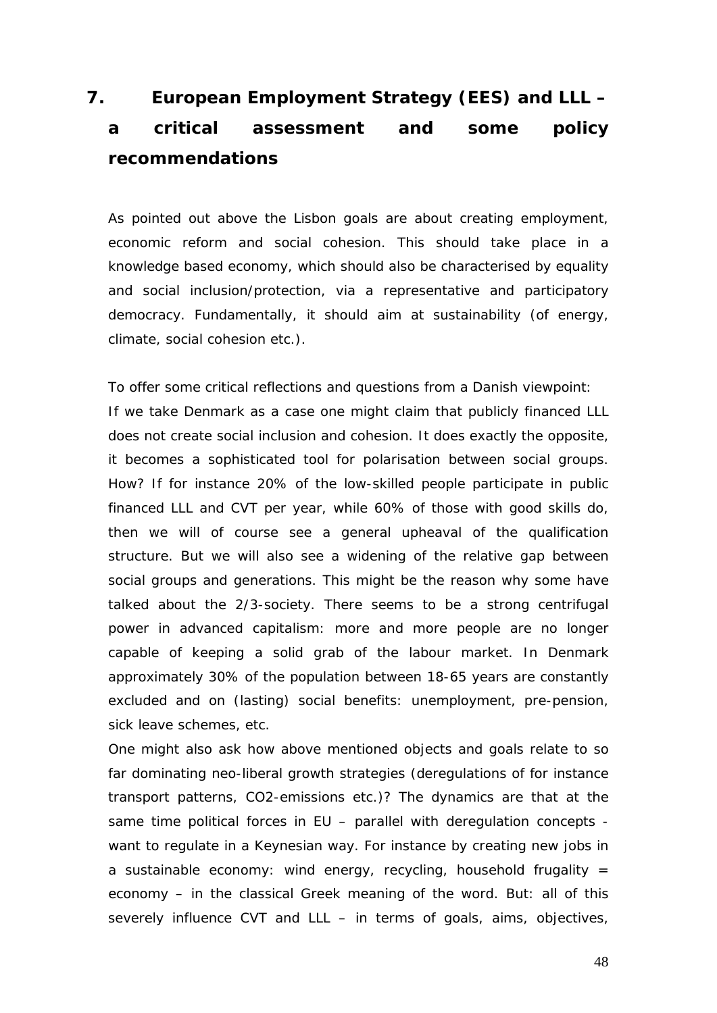# <span id="page-48-0"></span>**7. European Employment Strategy (EES) and LLL – a critical assessment and some policy recommendations**

As pointed out above the Lisbon goals are about creating employment, economic reform and social cohesion. This should take place in a knowledge based economy, which should also be characterised by equality and social inclusion/protection, via a representative and participatory democracy. Fundamentally, it should aim at sustainability (of energy, climate, social cohesion etc.).

To offer some critical reflections and questions from a Danish viewpoint: If we take Denmark as a case one might claim that publicly financed LLL does not create social inclusion and cohesion. It does exactly the opposite, it becomes a sophisticated tool for polarisation between social groups. How? If for instance 20% of the low-skilled people participate in public financed LLL and CVT per year, while 60% of those with good skills do, then we will of course see a general upheaval of the qualification structure. But we will also see a widening of the relative gap between social groups and generations. This might be the reason why some have talked about the 2/3-society. There seems to be a strong centrifugal power in advanced capitalism: more and more people are no longer capable of keeping a solid grab of the labour market. In Denmark approximately 30% of the population between 18-65 years are constantly excluded and on (lasting) social benefits: unemployment, pre-pension, sick leave schemes, etc.

One might also ask how above mentioned objects and goals relate to so far dominating neo-liberal growth strategies (deregulations of for instance transport patterns, CO2-emissions etc.)? The dynamics are that at the same time political forces in EU – parallel with deregulation concepts want to regulate in a Keynesian way. For instance by creating new jobs in a sustainable economy: wind energy, recycling, household frugality  $=$ economy – in the classical Greek meaning of the word. *But*: all of this severely influence CVT and LLL – in terms of goals, aims, objectives,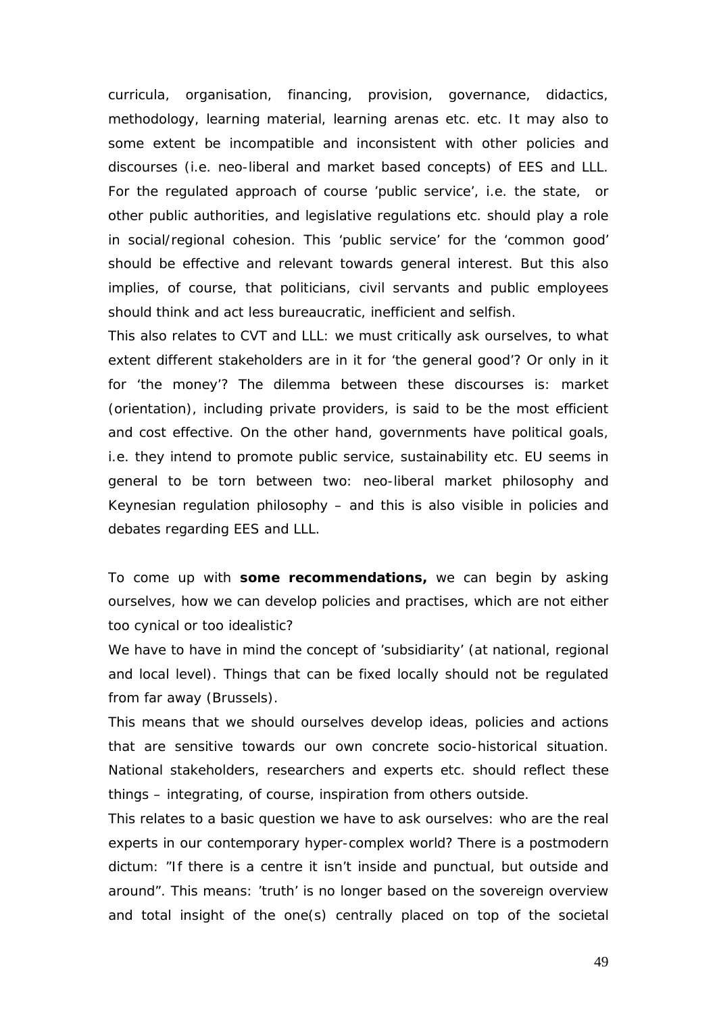curricula, organisation, financing, provision, governance, didactics, methodology, learning material, learning arenas etc. etc. It may also to some extent be incompatible and inconsistent with other policies and discourses (i.e. neo-liberal and market based concepts) of EES and LLL. For the regulated approach of course 'public service', i.e. the state, or other public authorities, and legislative regulations etc. should play a role in social/regional cohesion. This 'public service' for the 'common good' should be effective and relevant towards general interest. But this also implies, of course, that politicians, civil servants and public employees should think and act less bureaucratic, inefficient and selfish.

This also relates to CVT and LLL: we must critically ask ourselves, to what extent different stakeholders are in it for 'the general good'? Or only in it for 'the money'? The dilemma between these discourses is: market (orientation), including private providers, is said to be the most efficient and cost effective. On the other hand, governments have political goals, i.e. they intend to promote public service, sustainability etc. EU seems in general to be torn between two: neo-liberal market philosophy and Keynesian regulation philosophy – and this is also visible in policies and debates regarding EES and LLL.

To come up with **some recommendations,** we can begin by asking ourselves, how we can develop policies and practises, which are not either too cynical or too idealistic?

We have to have in mind the concept of 'subsidiarity' (at national, regional and local level). Things that can be fixed locally should not be regulated from far away (Brussels).

This means that we should ourselves develop ideas, policies and actions that are sensitive towards our own concrete socio-historical situation. National stakeholders, researchers and experts etc. should reflect these things – integrating, of course, inspiration from others outside.

This relates to a basic question we have to ask ourselves: who are the real experts in our contemporary hyper-complex world? There is a postmodern dictum: "If there is a centre it isn't inside and punctual, but outside and around". This means: 'truth' is no longer based on the sovereign overview and total insight of the one(s) centrally placed on top of the societal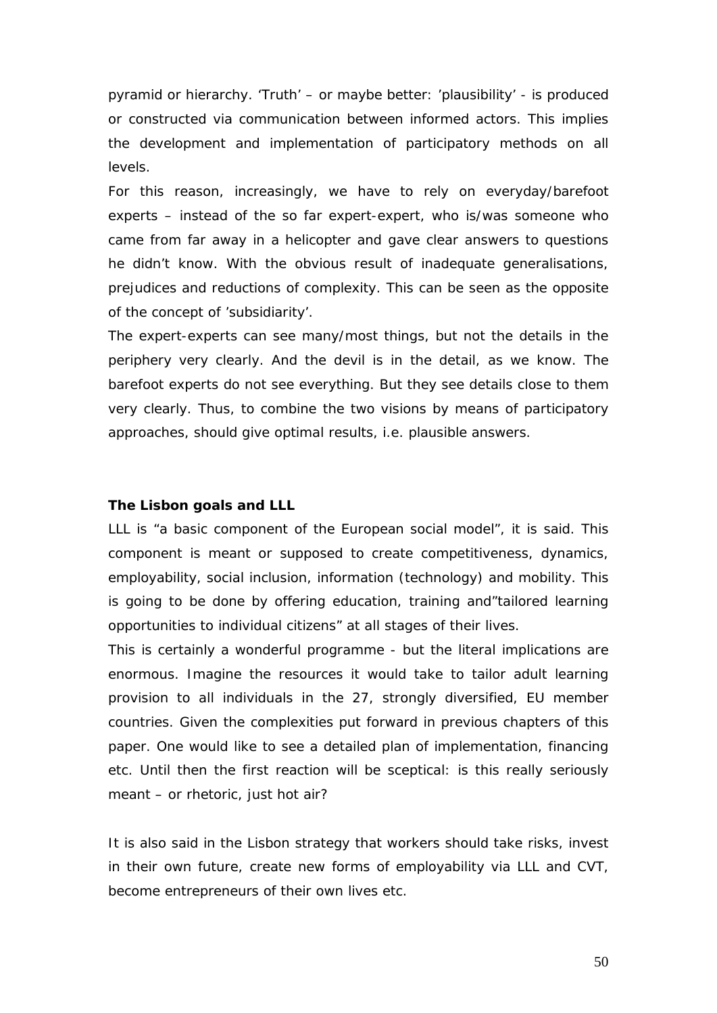pyramid or hierarchy. 'Truth' – or maybe better: 'plausibility' - is produced or constructed via communication between informed actors. This implies the development and implementation of participatory methods on all levels.

For this reason, increasingly, we have to rely on everyday/barefoot experts – instead of the so far expert-expert, who is/was someone who came from far away in a helicopter and gave clear answers to questions he didn't know. With the obvious result of inadequate generalisations, prejudices and reductions of complexity. This can be seen as the opposite of the concept of 'subsidiarity'.

The expert-experts can see many/most things, but not the details in the periphery very clearly. And the devil is in the detail, as we know. The barefoot experts do not see everything. But they see details close to them very clearly. Thus, to combine the two visions by means of participatory approaches, should give optimal results, i.e. plausible answers.

#### **The Lisbon goals and LLL**

LLL is "a basic component of the European social model", it is said. This component is meant or supposed to create competitiveness, dynamics, employability, social inclusion, information (technology) and mobility. This is going to be done by offering education, training and"tailored learning opportunities to individual citizens" at all stages of their lives.

This is certainly a wonderful programme - but the literal implications are enormous. Imagine the resources it would take to tailor adult learning provision to all individuals in the 27, strongly diversified, EU member countries. Given the complexities put forward in previous chapters of this paper. One would like to see a detailed plan of implementation, financing etc. Until then the first reaction will be sceptical: is this really seriously meant – or rhetoric, just hot air?

It is also said in the Lisbon strategy that workers should take risks, invest in their own future, create new forms of employability via LLL and CVT, become entrepreneurs of their own lives etc.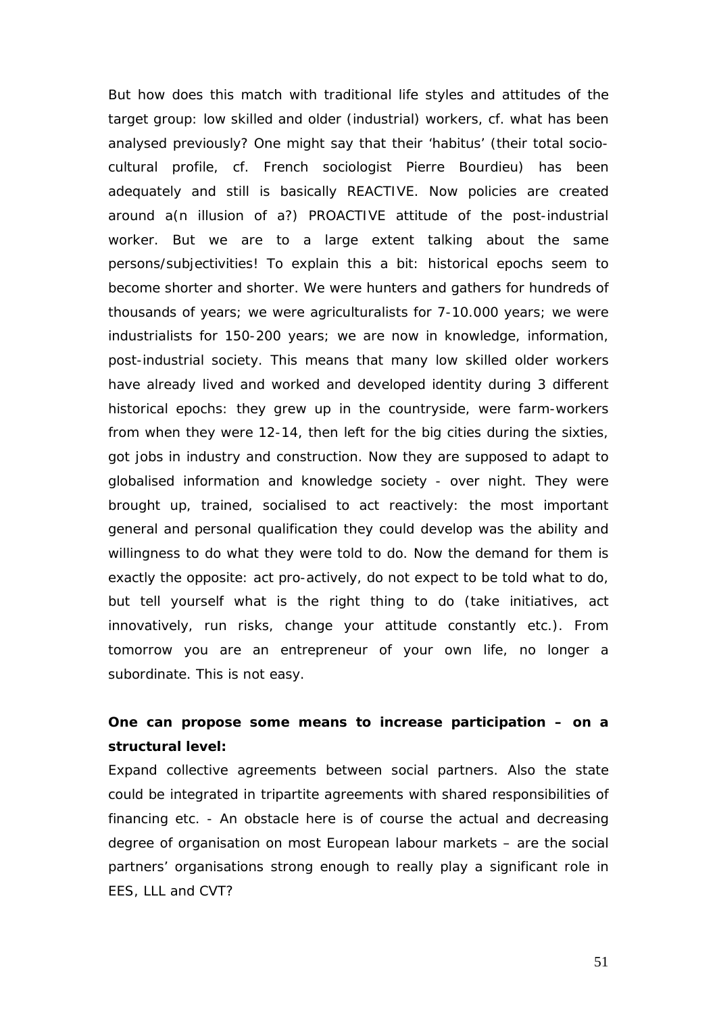But how does this match with traditional life styles and attitudes of the target group: low skilled and older (industrial) workers, cf. what has been analysed previously? One might say that their 'habitus' (their total sociocultural profile, cf. French sociologist Pierre Bourdieu) has been adequately and still is basically REACTIVE. Now policies are created around a(n illusion of a?) PROACTIVE attitude of the post-industrial worker. But we are to a large extent talking about the same persons/subjectivities! To explain this a bit: historical epochs seem to become shorter and shorter. We were hunters and gathers for hundreds of thousands of years; we were agriculturalists for 7-10.000 years; we were industrialists for 150-200 years; we are now in knowledge, information, post-industrial society. This means that many low skilled older workers have already lived and worked and developed identity during 3 different historical epochs: they grew up in the countryside, were farm-workers from when they were 12-14, then left for the big cities during the sixties, got jobs in industry and construction. Now they are supposed to adapt to globalised information and knowledge society - over night. They were brought up, trained, socialised to act reactively: the most important general and personal qualification they could develop was the ability and willingness to do what they were told to do. Now the demand for them is exactly the opposite: act pro-actively, do not expect to be told what to do, but tell yourself what is the right thing to do (take initiatives, act innovatively, run risks, change your attitude constantly etc.). From tomorrow you are an entrepreneur of your own life, no longer a subordinate. This is not easy.

### **One can propose some means to increase participation – on a structural level:**

Expand collective agreements between social partners. Also the state could be integrated in tripartite agreements with shared responsibilities of financing etc. - An obstacle here is of course the actual and decreasing degree of organisation on most European labour markets – are the social partners' organisations strong enough to really play a significant role in EES, LLL and CVT?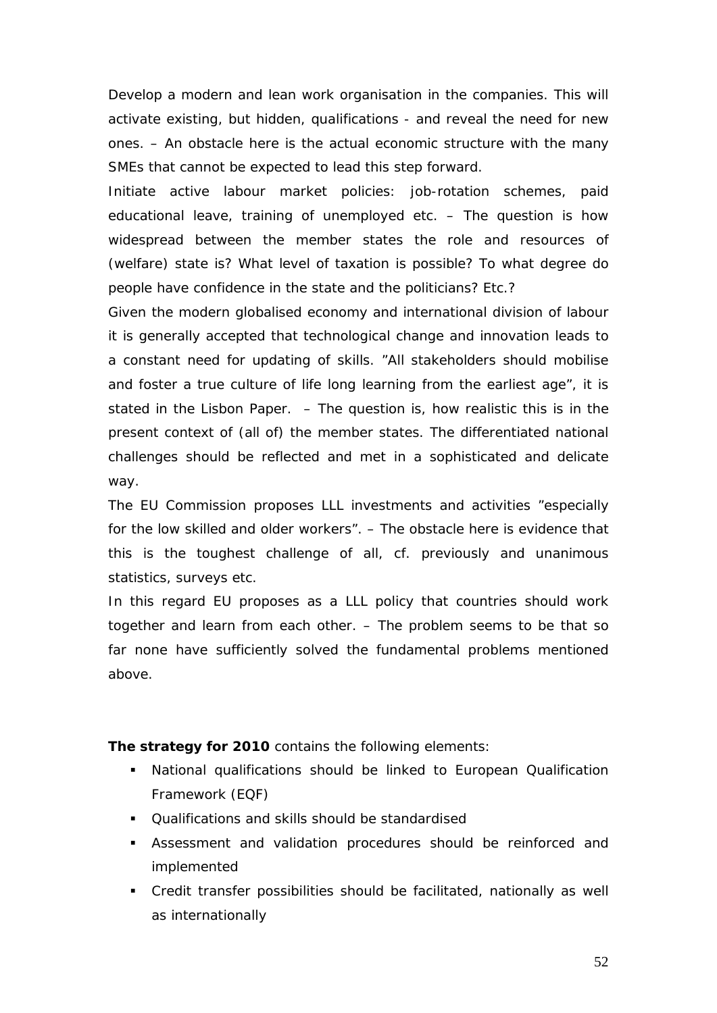Develop a modern and lean work organisation in the companies. This will activate existing, but hidden, qualifications - and reveal the need for new ones. – An obstacle here is the actual economic structure with the many SMEs that cannot be expected to lead this step forward.

Initiate active labour market policies: job-rotation schemes, paid educational leave, training of unemployed etc. – The question is how widespread between the member states the role and resources of (welfare) state is? What level of taxation is possible? To what degree do people have confidence in the state and the politicians? Etc.?

Given the modern globalised economy and international division of labour it is generally accepted that technological change and innovation leads to a constant need for updating of skills. "All stakeholders should mobilise and foster a true culture of life long learning from the earliest age", it is stated in the Lisbon Paper. – The question is, how realistic this is in the present context of (all of) the member states. The differentiated national challenges should be reflected and met in a sophisticated and delicate way.

The EU Commission proposes LLL investments and activities "especially for the low skilled and older workers". – The obstacle here is evidence that this is the toughest challenge of all, cf. previously and unanimous statistics, surveys etc.

In this regard EU proposes as a LLL policy that countries should work together and learn from each other. – The problem seems to be that so far none have sufficiently solved the fundamental problems mentioned above.

**The strategy for 2010** contains the following elements:

- National qualifications should be linked to European Qualification Framework (EQF)
- Qualifications and skills should be standardised
- Assessment and validation procedures should be reinforced and implemented
- Credit transfer possibilities should be facilitated, nationally as well as internationally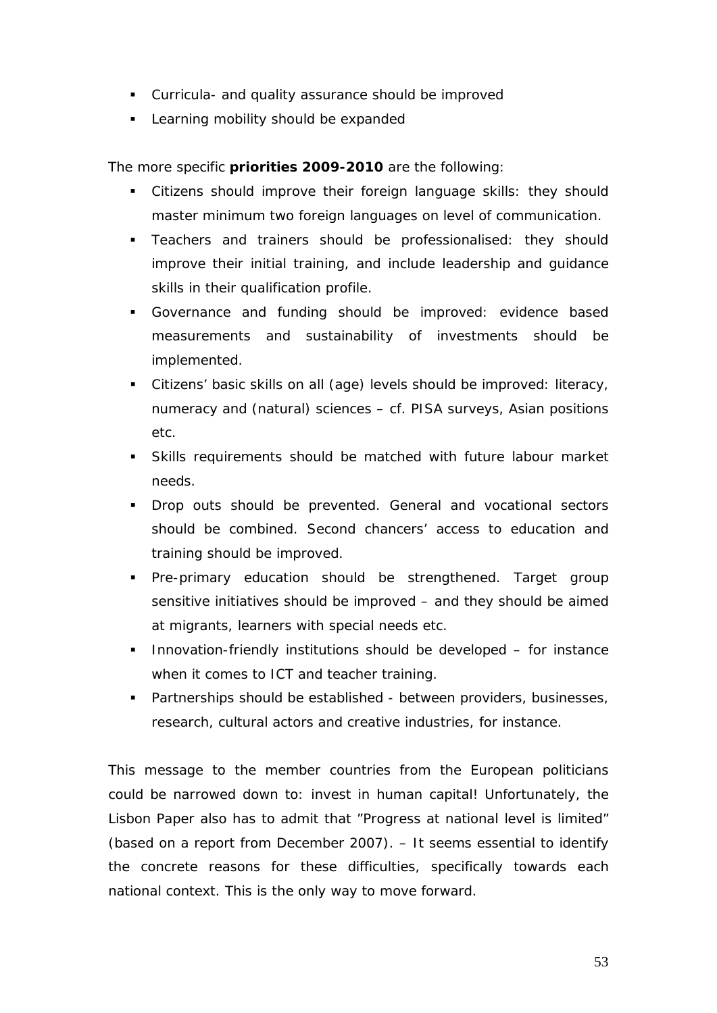- Curricula- and quality assurance should be improved
- **Learning mobility should be expanded**

The more specific **priorities 2009-2010** are the following:

- Citizens should improve their foreign language skills: they should master minimum two foreign languages on level of communication.
- Teachers and trainers should be professionalised: they should improve their initial training, and include leadership and guidance skills in their qualification profile.
- Governance and funding should be improved: evidence based measurements and sustainability of investments should be implemented.
- Citizens' basic skills on all (age) levels should be improved: literacy, numeracy and (natural) sciences – cf. PISA surveys, Asian positions etc.
- Skills requirements should be matched with future labour market needs.
- **Drop outs should be prevented. General and vocational sectors** should be combined. Second chancers' access to education and training should be improved.
- Pre-primary education should be strengthened. Target group sensitive initiatives should be improved – and they should be aimed at migrants, learners with special needs etc.
- **Innovation-friendly institutions should be developed for instance** when it comes to ICT and teacher training.
- **Partnerships should be established between providers, businesses,** research, cultural actors and creative industries, for instance.

This message to the member countries from the European politicians could be narrowed down to: *invest in human capital!* Unfortunately, the Lisbon Paper also has to admit that "Progress at national level is limited" (based on a report from December 2007). – It seems essential to identify the concrete reasons for these difficulties, specifically towards each national context. This is the only way to move forward.